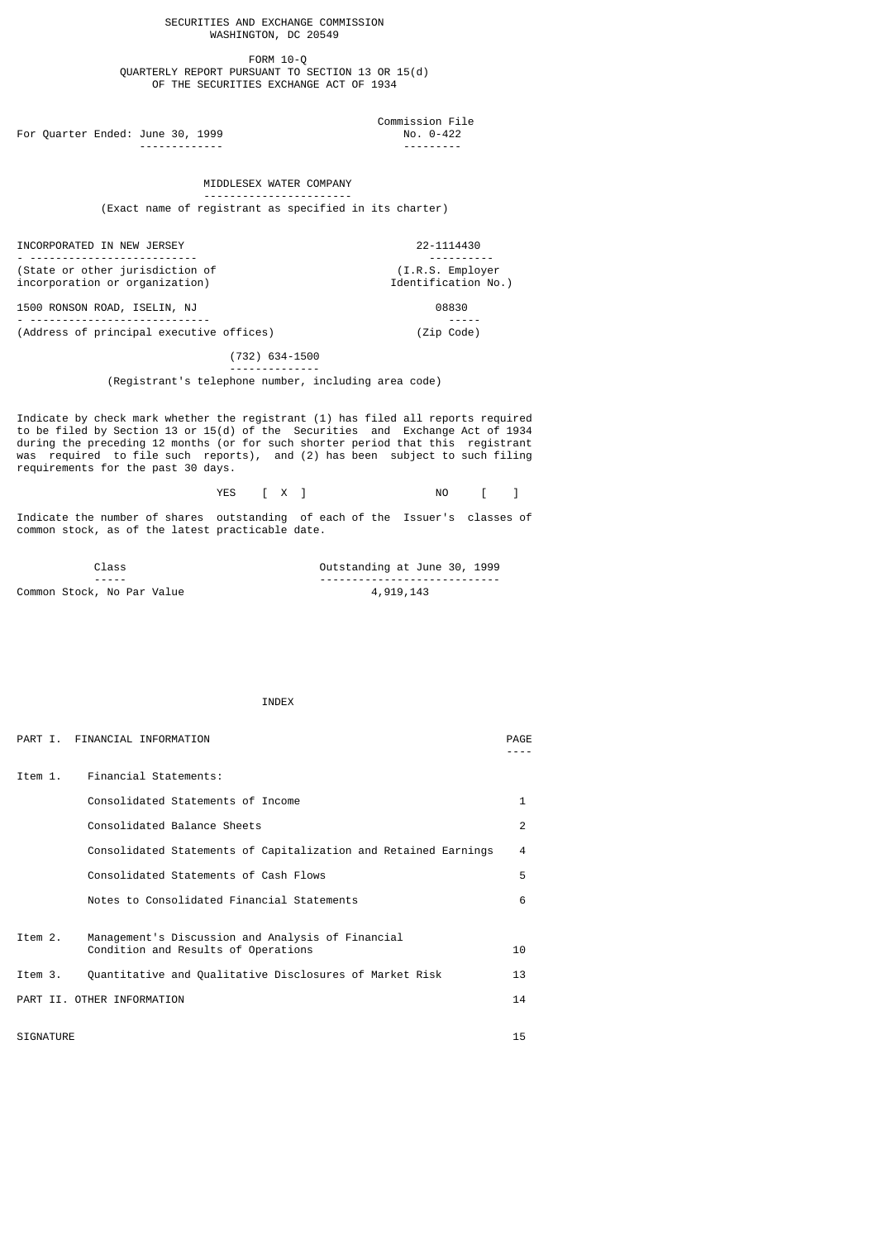SECURITIES AND EXCHANGE COMMISSION WASHINGTON, DC 20549

 FORM 10-Q QUARTERLY REPORT PURSUANT TO SECTION 13 OR 15(d) OF THE SECURITIES EXCHANGE ACT OF 1934

For Quarter Ended: June 30, 1999

# Commission File ------------- ---------

MIDDLESEX WATER COMPANY

-----------------------

(Exact name of registrant as specified in its charter)

INCORPORATED IN NEW JERSEY 22-1114430

- -------------------------- ---------- (State or other jurisdiction of (I.R.S. Employer incorporation or organization) incorporation or organization) incorporation  $N$ .

1500 RONSON ROAD, ISELIN, NJ 08830 - ---------------------------- ----- (Address of principal executive offices) (Zip Code)

 (732) 634-1500 --------------

(Registrant's telephone number, including area code)

Indicate by check mark whether the registrant (1) has filed all reports required to be filed by Section 13 or 15(d) of the Securities and Exchange Act of 1934 during the preceding 12 months (or for such shorter period that this registrant was required to file such reports), and (2) has been subject to such filing requirements for the past 30 days.

| YES [ X ]<br>$\cdot$ $ \cdot$ | NO |  | $\blacksquare$ |
|-------------------------------|----|--|----------------|
|-------------------------------|----|--|----------------|

Indicate the number of shares outstanding of each of the Issuer's classes of common stock, as of the latest practicable date.

| Class                      | Outstanding at June 30, 1999 |
|----------------------------|------------------------------|
| ------                     |                              |
| Common Stock, No Par Value | 4,919,143                    |

INDEX

|         | PART I. FINANCIAL INFORMATION                                                            | PAGE |
|---------|------------------------------------------------------------------------------------------|------|
| Ttem 1. | Financial Statements:                                                                    |      |
|         | Consolidated Statements of Income                                                        | 1    |
|         | Consolidated Balance Sheets                                                              | 2    |
|         | Consolidated Statements of Capitalization and Retained Earnings                          | 4    |
|         | Consolidated Statements of Cash Flows                                                    | 5    |
|         | Notes to Consolidated Financial Statements                                               | 6    |
| Item 2. | Management's Discussion and Analysis of Financial<br>Condition and Results of Operations | 10   |
| Item 3. | Quantitative and Qualitative Disclosures of Market Risk                                  | 13   |
|         | PART II. OTHER INFORMATION                                                               | 14   |

SIGNATURE 2.5 AND 2.5 AND 2.5 AND 2.5 AND 2.5 AND 2.5 AND 2.5 AND 2.5 AND 2.5 AND 2.5 AND 2.5 AND 2.5 AND 2.5 AND 2.5 AND 2.5 AND 2.5 AND 2.5 AND 2.5 AND 2.5 AND 2.5 AND 2.5 AND 2.5 AND 2.5 AND 2.5 AND 2.5 AND 2.5 AND 2.5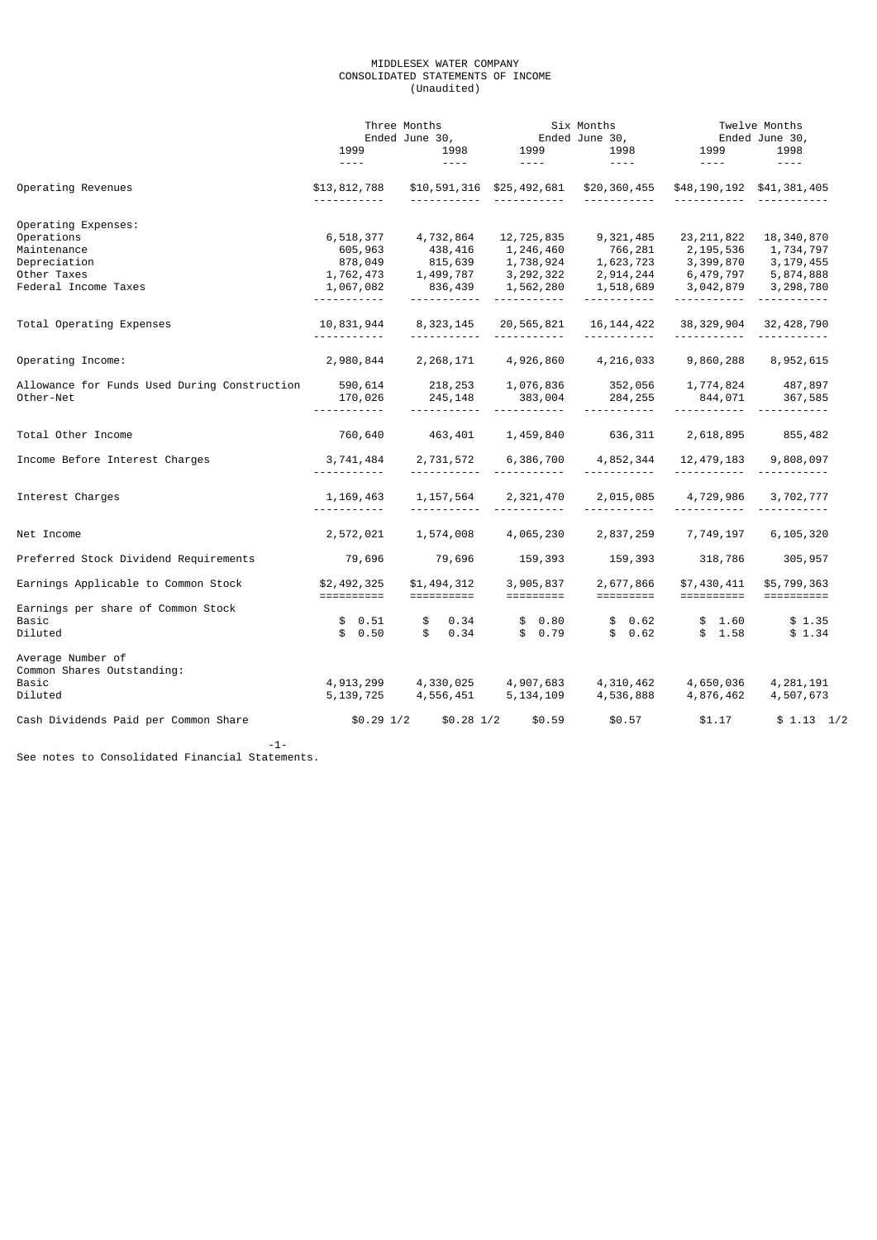# MIDDLESEX WATER COMPANY CONSOLIDATED STATEMENTS OF INCOME (Unaudited)

|                                                 |                                            | Three Months                                                    | Six Months                                |                                                                  | Twelve Months<br>Ended June 30,           |                                     |
|-------------------------------------------------|--------------------------------------------|-----------------------------------------------------------------|-------------------------------------------|------------------------------------------------------------------|-------------------------------------------|-------------------------------------|
|                                                 | 1999<br>$\sim$ $\sim$ $\sim$ $\sim$        | Ended June 30, En<br>3 1998 1999<br>$\sim$ $\sim$ $\sim$ $\sim$ | $\sim$ 100 $\pm$ 100 $\pm$                | $\frac{1}{2}$                                                    | Er<br>1999<br>$\sim$ $\sim$ $\sim$ $\sim$ | 1998<br>$\sim$ $\sim$ $\sim$ $\sim$ |
| Operating Revenues                              | \$13,812,788                               |                                                                 |                                           | \$10,591,316 \$25,492,681 \$20,360,455 \$48,190,192 \$41,381,405 |                                           |                                     |
| Operating Expenses:                             |                                            |                                                                 |                                           |                                                                  |                                           |                                     |
| Operations                                      | 6,518,377                                  | 4,732,864                                                       | 12,725,835                                | 9,321,485                                                        | 23, 211, 822                              | 18,340,870                          |
| Maintenance                                     | 605,963                                    | 438,416                                                         | 1,246,460                                 | 766,281                                                          | 2,195,536                                 | 1,734,797                           |
| Depreciation                                    | 878,049                                    | 815,639                                                         | 1,738,924                                 | 1,623,723                                                        | 3,399,870                                 | 3, 179, 455                         |
| Other Taxes                                     | 1,762,473                                  |                                                                 | 1,499,787 3,292,322                       | 2,914,244                                                        | 6,479,797                                 | 5,874,888                           |
| Federal Income Taxes                            | 1,067,082                                  | 836,439                                                         | 1,562,280                                 |                                                                  | 1,518,689 3,042,879                       | 3,298,780                           |
| Total Operating Expenses                        | 10,831,944<br>.                            | 8,323,145                                                       | 20,565,821<br><u> - - - - - - - - - -</u> | 16, 144, 422                                                     | 38,329,904                                | 32, 428, 790                        |
|                                                 |                                            |                                                                 |                                           |                                                                  |                                           |                                     |
| Operating Income:                               | 2,980,844                                  |                                                                 | 2, 268, 171 4, 926, 860                   | 4,216,033                                                        | 9,860,288                                 | 8,952,615                           |
| Allowance for Funds Used During Construction    | 590,614                                    |                                                                 | 1,076,836                                 |                                                                  | 1,774,824                                 | 487,897                             |
| Other-Net                                       | 170,026<br><u>.</u>                        | 218, 253<br>245, 148                                            | 383,004                                   | 352,056<br>284,255<br>----------                                 |                                           | $844,071$ 367,585                   |
| Total Other Income                              | 760,640                                    | 463,401                                                         | 1,459,840                                 |                                                                  | 636, 311 2, 618, 895 855, 482             |                                     |
| Income Before Interest Charges                  | 3,741,484                                  |                                                                 | 2,731,572 6,386,700                       | 4,852,344                                                        | 12,479,183                                | 9,808,097                           |
| Interest Charges                                | 1,169,463<br><u> - - - - - - - - - - -</u> |                                                                 | 1, 157, 564 2, 321, 470<br><u> </u>       | 2,015,085                                                        | 4,729,986                                 | 3,702,777                           |
| Net Income                                      | 2,572,021                                  | 1,574,008                                                       | 4,065,230                                 | 2,837,259                                                        | 7,749,197                                 | 6,105,320                           |
| Preferred Stock Dividend Requirements           | 79,696                                     | 79,696                                                          | 159,393                                   | 159,393                                                          | 318,786                                   | 305,957                             |
| Earnings Applicable to Common Stock             | \$2,492,325<br>==========                  | \$1,494,312<br>==========                                       | 3,905,837<br>=========                    | 2,677,866<br>=========                                           | \$7,430,411<br>==========                 | \$5,799,363                         |
| Earnings per share of Common Stock<br>Basic     | \$0.51                                     | \$ 0.34                                                         | \$0.80                                    | \$0.62                                                           | \$1.60                                    | \$1.35                              |
| Diluted                                         | \$0.50                                     | $\mathbf{s}$<br>0.34                                            | \$0.79                                    | \$0.62                                                           | \$1.58                                    | \$1.34                              |
| Average Number of<br>Common Shares Outstanding: |                                            |                                                                 |                                           |                                                                  |                                           |                                     |
| Basic                                           |                                            | 4,913,299 4,330,025 4,907,683                                   |                                           | 4,310,462                                                        | 4,650,036                                 | 4, 281, 191                         |
| Diluted                                         | 5, 139, 725                                | 4,556,451 5,134,109                                             |                                           | 4,536,888                                                        | 4,876,462                                 | 4,507,673                           |
| Cash Dividends Paid per Common Share            | $$0.29$ $1/2$                              | $$0.28$ $1/2$                                                   | \$0.59                                    | \$0.57                                                           | \$1.17                                    | \$1.13 1/2                          |

 $-1-1-1-1-1$ See notes to Consolidated Financial Statements.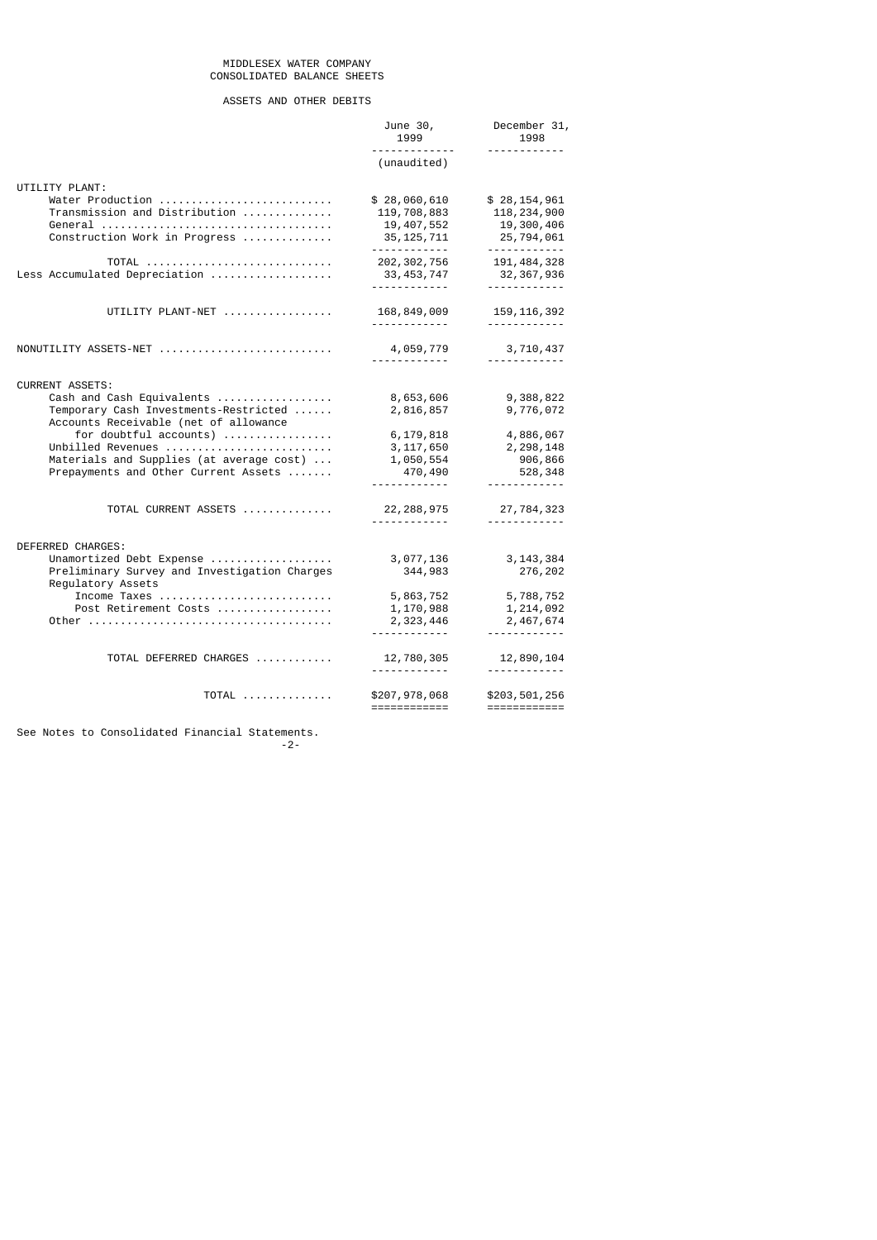## MIDDLESEX WATER COMPANY CONSOLIDATED BALANCE SHEETS

# ASSETS AND OTHER DEBITS

|                                                                                  | June 30,<br>1999<br><u>.</u>  | December 31,<br>1998            |
|----------------------------------------------------------------------------------|-------------------------------|---------------------------------|
|                                                                                  | (unaudited)                   |                                 |
| UTILITY PLANT:                                                                   |                               |                                 |
| Water Production                                                                 | \$28,060,610                  | \$28,154,961                    |
| Transmission and Distribution                                                    | 119,708,883<br>19, 407, 552   | 118, 234, 900<br>19,300,406     |
| Construction Work in Progress                                                    | 35, 125, 711<br><u>.</u>      | 25,794,061<br>------------      |
| TOTAL                                                                            | 202, 302, 756                 | 191, 484, 328                   |
| Less Accumulated Depreciation                                                    | 33, 453, 747<br><u>.</u>      | 32, 367, 936<br><u>.</u>        |
| UTILITY PLANT-NET                                                                | 168,849,009                   | 159, 116, 392                   |
|                                                                                  | .                             | ----------                      |
| $\texttt{NONUTILITY}$ ASSETS-NET                                                 | 4,059,779                     | 3,710,437<br><u>.</u> .         |
| <b>CURRENT ASSETS:</b>                                                           |                               |                                 |
| Cash and Cash Equivalents                                                        | 8,653,606                     | 9,388,822                       |
| Temporary Cash Investments-Restricted<br>Accounts Receivable (net of allowance   | 2,816,857                     | 9,776,072                       |
| for doubtful accounts)                                                           | 6,179,818                     | 4,886,067                       |
| Unbilled Revenues                                                                | 3, 117, 650                   | 2, 298, 148                     |
| Materials and Supplies (at average cost)<br>Prepayments and Other Current Assets | 1,050,554<br>470,490          | 906,866<br>528,348              |
|                                                                                  | <u>.</u>                      | <u>.</u>                        |
| TOTAL CURRENT ASSETS                                                             | 22, 288, 975                  | 27,784,323                      |
|                                                                                  | <u>.</u>                      | <u> - - - - - - - - - - - -</u> |
| DEFERRED CHARGES:                                                                |                               |                                 |
| Unamortized Debt Expense<br>Preliminary Survey and Investigation Charges         | 3,077,136<br>344,983          | 3, 143, 384<br>276,202          |
| Regulatory Assets                                                                |                               |                                 |
| Income Taxes                                                                     | 5,863,752                     | 5,788,752                       |
| Post Retirement Costs                                                            | 1,170,988<br>2,323,446        | 1,214,092<br>2,467,674          |
|                                                                                  | <u>.</u>                      | <u>.</u>                        |
| TOTAL DEFERRED CHARGES                                                           | 12,780,305                    | 12,890,104                      |
|                                                                                  | <u>.</u>                      |                                 |
| TOTAL                                                                            | \$207,978,068<br>============ | \$203,501,256<br>============   |

See Notes to Consolidated Financial Statements.

-2-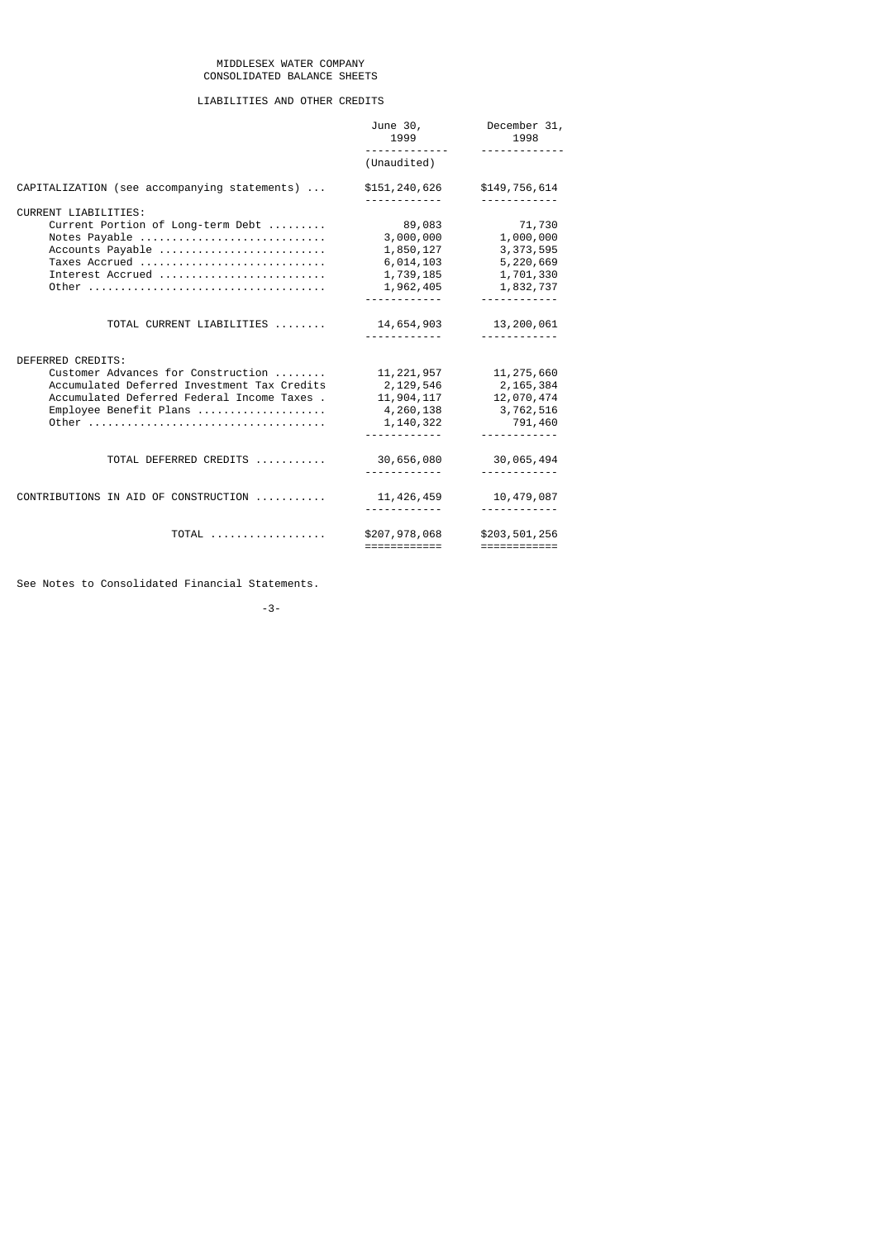## MIDDLESEX WATER COMPANY CONSOLIDATED BALANCE SHEETS

# LIABILITIES AND OTHER CREDITS

|                                                         | June 30,<br>1999<br><u>.</u>  | December 31,<br>1998<br><u>.</u>                                                                                                                                                                                                                                                                                                                                                                                                                                                                        |
|---------------------------------------------------------|-------------------------------|---------------------------------------------------------------------------------------------------------------------------------------------------------------------------------------------------------------------------------------------------------------------------------------------------------------------------------------------------------------------------------------------------------------------------------------------------------------------------------------------------------|
|                                                         | (Unaudited)                   |                                                                                                                                                                                                                                                                                                                                                                                                                                                                                                         |
| CAPITALIZATION (see accompanying statements)            | \$151,240,626                 | \$149,756,614                                                                                                                                                                                                                                                                                                                                                                                                                                                                                           |
| <b>CURRENT LIABILITIES:</b>                             |                               |                                                                                                                                                                                                                                                                                                                                                                                                                                                                                                         |
| Current Portion of Long-term Debt                       | 89,083                        | 71,730                                                                                                                                                                                                                                                                                                                                                                                                                                                                                                  |
| Notes Payable                                           | 3,000,000                     | 1,000,000                                                                                                                                                                                                                                                                                                                                                                                                                                                                                               |
| Accounts Payable                                        | 1,850,127                     | 3, 373, 595                                                                                                                                                                                                                                                                                                                                                                                                                                                                                             |
| Taxes Accrued                                           | 6,014,103                     | 5,220,669                                                                                                                                                                                                                                                                                                                                                                                                                                                                                               |
| Interest Accrued                                        | 1,739,185                     | 1,701,330                                                                                                                                                                                                                                                                                                                                                                                                                                                                                               |
|                                                         | 1,962,405                     | 1,832,737                                                                                                                                                                                                                                                                                                                                                                                                                                                                                               |
|                                                         |                               |                                                                                                                                                                                                                                                                                                                                                                                                                                                                                                         |
| TOTAL CURRENT LIABILITIES                               | 14,654,903                    | 13,200,061                                                                                                                                                                                                                                                                                                                                                                                                                                                                                              |
|                                                         |                               |                                                                                                                                                                                                                                                                                                                                                                                                                                                                                                         |
|                                                         |                               |                                                                                                                                                                                                                                                                                                                                                                                                                                                                                                         |
| DEFERRED CREDITS:<br>Customer Advances for Construction |                               |                                                                                                                                                                                                                                                                                                                                                                                                                                                                                                         |
| Accumulated Deferred Investment Tax Credits             | 11, 221, 957<br>2,129,546     | 11, 275, 660<br>2,165,384                                                                                                                                                                                                                                                                                                                                                                                                                                                                               |
| Accumulated Deferred Federal Income Taxes.              | 11,904,117                    | 12,070,474                                                                                                                                                                                                                                                                                                                                                                                                                                                                                              |
| Employee Benefit Plans                                  | 4,260,138                     | 3,762,516                                                                                                                                                                                                                                                                                                                                                                                                                                                                                               |
|                                                         | 1,140,322                     | 791,460                                                                                                                                                                                                                                                                                                                                                                                                                                                                                                 |
|                                                         |                               | <u>.</u>                                                                                                                                                                                                                                                                                                                                                                                                                                                                                                |
|                                                         |                               |                                                                                                                                                                                                                                                                                                                                                                                                                                                                                                         |
| TOTAL DEFERRED CREDITS                                  | 30,656,080                    | 30,065,494                                                                                                                                                                                                                                                                                                                                                                                                                                                                                              |
|                                                         |                               |                                                                                                                                                                                                                                                                                                                                                                                                                                                                                                         |
| CONTRIBUTIONS IN AID OF CONSTRUCTION                    | 11, 426, 459                  | 10,479,087                                                                                                                                                                                                                                                                                                                                                                                                                                                                                              |
|                                                         |                               |                                                                                                                                                                                                                                                                                                                                                                                                                                                                                                         |
| TOTAL                                                   | \$207,978,068<br>============ | \$203,501,256<br>$\begin{array}{cccccccccc} \multicolumn{2}{c}{} & \multicolumn{2}{c}{} & \multicolumn{2}{c}{} & \multicolumn{2}{c}{} & \multicolumn{2}{c}{} & \multicolumn{2}{c}{} & \multicolumn{2}{c}{} & \multicolumn{2}{c}{} & \multicolumn{2}{c}{} & \multicolumn{2}{c}{} & \multicolumn{2}{c}{} & \multicolumn{2}{c}{} & \multicolumn{2}{c}{} & \multicolumn{2}{c}{} & \multicolumn{2}{c}{} & \multicolumn{2}{c}{} & \multicolumn{2}{c}{} & \multicolumn{2}{c}{} & \multicolumn{2}{c}{} & \mult$ |

See Notes to Consolidated Financial Statements.

-3-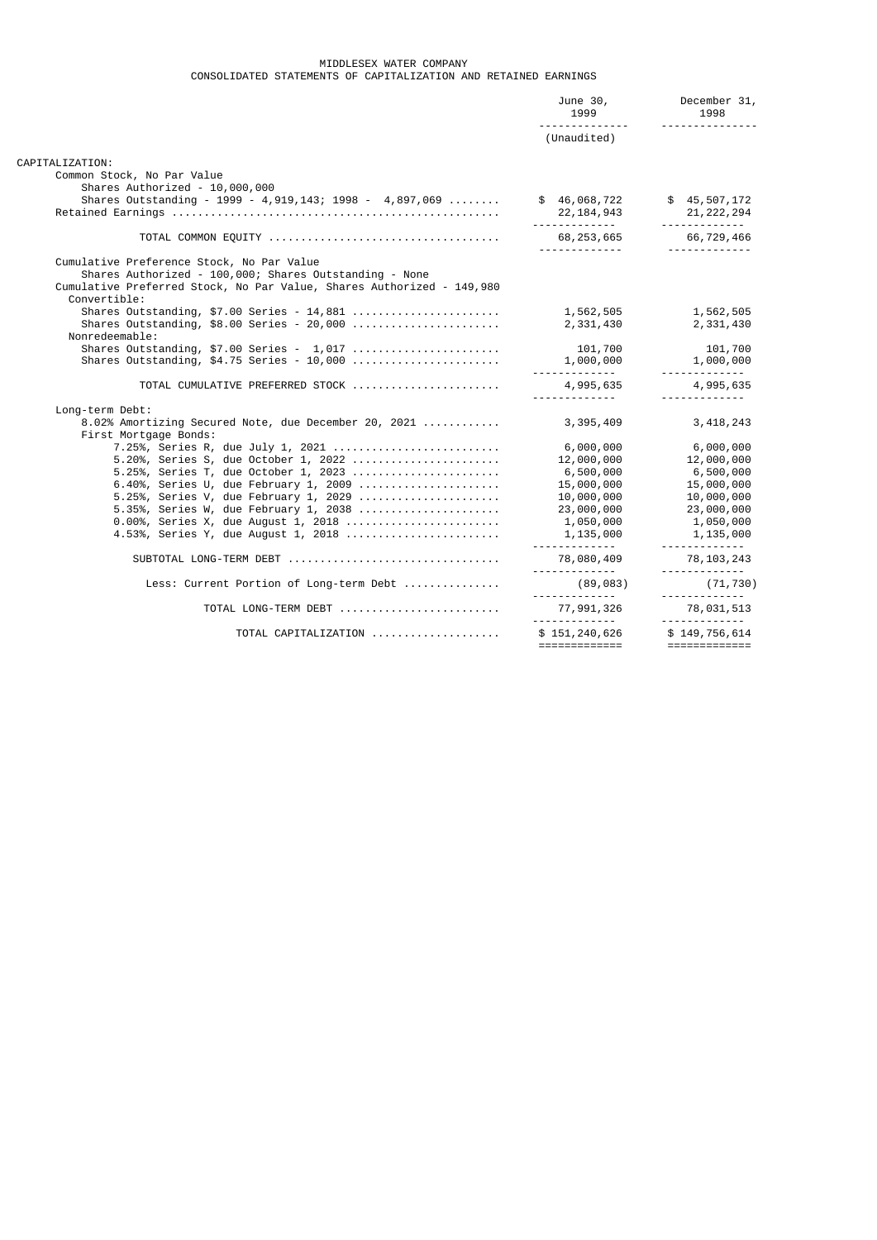# MIDDLESEX WATER COMPANY CONSOLIDATED STATEMENTS OF CAPITALIZATION AND RETAINED EARNINGS

|                                                                       | June 30,<br>1999                | December 31,<br>1998<br><u> - - - - - - - - - - - - - -</u> |
|-----------------------------------------------------------------------|---------------------------------|-------------------------------------------------------------|
|                                                                       | (Unaudited)                     |                                                             |
| CAPITALIZATION:                                                       |                                 |                                                             |
| Common Stock, No Par Value                                            |                                 |                                                             |
| Shares Authorized - 10,000,000                                        |                                 |                                                             |
| Shares Outstanding - 1999 - 4, 919, 143; 1998 - 4, 897, 069           | \$46,068,722                    | \$45,507,172                                                |
|                                                                       | 22,184,943                      | 21, 222, 294                                                |
|                                                                       |                                 | <u>.</u>                                                    |
|                                                                       |                                 | 66,729,466                                                  |
|                                                                       | 68, 253, 665<br>------------    | <u> - - - - - - - - - - - - -</u>                           |
| Cumulative Preference Stock, No Par Value                             |                                 |                                                             |
| Shares Authorized - 100,000; Shares Outstanding - None                |                                 |                                                             |
| Cumulative Preferred Stock, No Par Value, Shares Authorized - 149,980 |                                 |                                                             |
| Convertible:                                                          |                                 |                                                             |
| Shares Outstanding, $$7.00$ Series - 14,881                           | 1,562,505                       | 1,562,505                                                   |
|                                                                       | 2,331,430                       | 2,331,430                                                   |
| Nonredeemable:                                                        |                                 |                                                             |
| Shares Outstanding, $$7.00$ Series - $1,017$                          | 101,700                         | 101,700                                                     |
| Shares Outstanding, $$4.75$ Series - 10,000                           | 1,000,000                       | 1,000,000                                                   |
|                                                                       | <u> - - - - - - - - - - - -</u> | .                                                           |
| TOTAL CUMULATIVE PREFERRED STOCK                                      | 4,995,635                       | 4,995,635                                                   |
|                                                                       | <u></u>                         |                                                             |
| Long-term Debt:                                                       |                                 |                                                             |
| 8.02% Amortizing Secured Note, due December 20, 2021                  | 3,395,409                       | 3, 418, 243                                                 |
| First Mortgage Bonds:                                                 |                                 |                                                             |
| 7.25%, Series R, due July 1, 2021                                     | 6,000,000                       | 6,000,000                                                   |
| 5.20%, Series S, due October 1, 2022                                  | 12,000,000                      | 12,000,000                                                  |
| 5.25%, Series T, due October 1, 2023                                  | 6,500,000                       | 6,500,000                                                   |
| 6.40%, Series U, due February 1, 2009                                 | 15,000,000                      | 15,000,000                                                  |
| 5.25%, Series V, due February 1, 2029                                 | 10,000,000                      | 10,000,000                                                  |
| 5.35%, Series W, due February 1, 2038                                 | 23,000,000                      | 23,000,000                                                  |
| 0.00%, Series X, due August 1, 2018                                   | 1,050,000                       | 1,050,000                                                   |
| 4.53%, Series Y, due August 1, 2018                                   | 1,135,000                       | 1,135,000                                                   |
|                                                                       |                                 |                                                             |
| SUBTOTAL LONG-TERM DEBT                                               | 78,080,409                      | 78,103,243                                                  |
|                                                                       |                                 | <u></u>                                                     |
| Less: Current Portion of Long-term Debt                               | (89,083)                        | (71, 730)                                                   |
|                                                                       | <u></u>                         | <u></u>                                                     |
| TOTAL LONG-TERM DEBT                                                  | 77,991,326                      | 78,031,513                                                  |
|                                                                       |                                 |                                                             |
| TOTAL CAPITALIZATION                                                  | \$151, 240, 626                 | \$149,756,614                                               |
|                                                                       | =============                   | =============                                               |
|                                                                       |                                 |                                                             |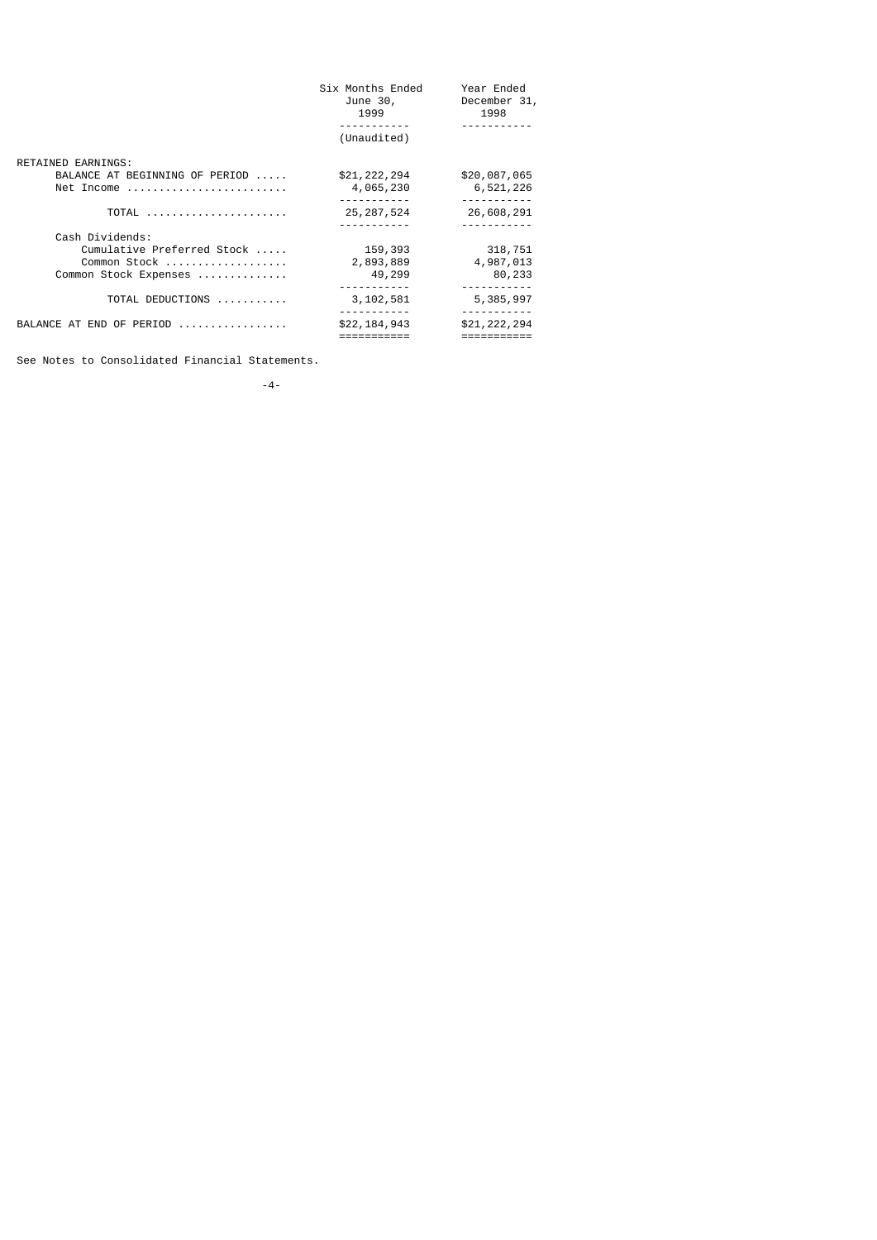|                                | Six Months Ended<br>June 30,<br>1999 | Year Ended<br>December 31,<br>1998 |
|--------------------------------|--------------------------------------|------------------------------------|
|                                |                                      |                                    |
|                                | (Unaudited)                          |                                    |
| RETAINED EARNINGS:             |                                      |                                    |
| BALANCE AT BEGINNING OF PERIOD | \$21,222,294                         | \$20,087,065                       |
| Net Income                     | 4,065,230                            | 6,521,226                          |
|                                |                                      | ------                             |
| TOTAL                          | 25, 287, 524                         | 26,608,291                         |
|                                |                                      |                                    |
| Cash Dividends:                |                                      |                                    |
| Cumulative Preferred Stock     | 159,393                              | 318,751                            |
| Common Stock                   | 2,893,889                            | 4,987,013                          |
| Common Stock Expenses          | 49,299                               | 80,233                             |
|                                |                                      |                                    |
| TOTAL DEDUCTIONS               | 3, 102, 581                          | 5,385,997                          |
|                                |                                      |                                    |
| BALANCE AT END OF PERIOD       | \$22,184,943                         | \$21,222,294                       |
|                                |                                      |                                    |

See Notes to Consolidated Financial Statements.

-4-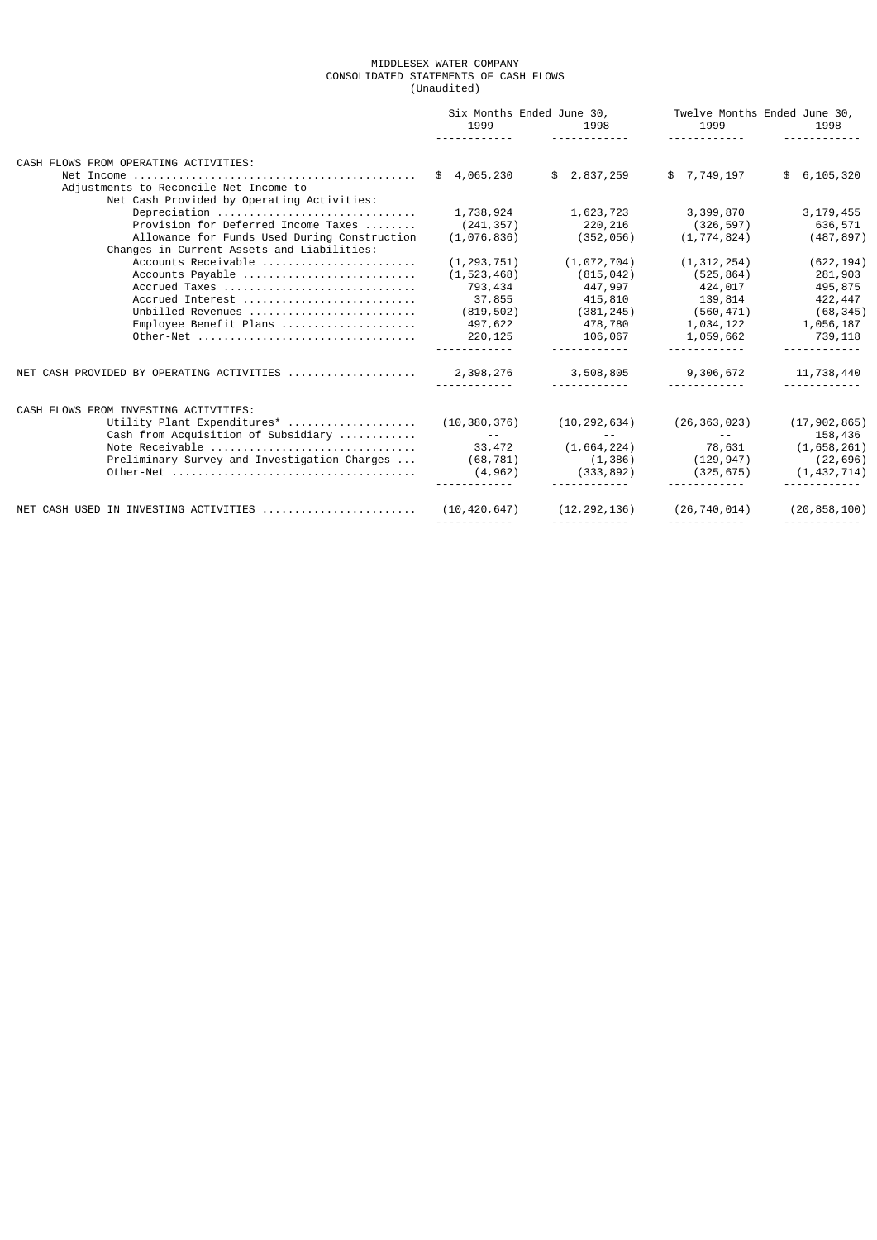### MIDDLESEX WATER COMPANY CONSOLIDATED STATEMENTS OF CASH FLOWS (Unaudited)

|                                       |                                                                                      | 1999              | Six Months Ended June 30,<br>1998<br><u>.</u>        | Twelve Months Ended June 30,<br>1999<br>.    | 1998                   |
|---------------------------------------|--------------------------------------------------------------------------------------|-------------------|------------------------------------------------------|----------------------------------------------|------------------------|
| CASH FLOWS FROM OPERATING ACTIVITIES: |                                                                                      |                   |                                                      |                                              |                        |
|                                       | Adjustments to Reconcile Net Income to<br>Net Cash Provided by Operating Activities: | \$4,065,230       | \$2,837,259                                          | \$ 7,749,197                                 | \$6, 105, 320          |
|                                       | Depreciation                                                                         |                   | $1,738,924$ $1,623,723$ $3,399,870$                  |                                              | 3,179,455              |
|                                       | Provision for Deferred Income Taxes                                                  |                   | $(241, 357)$ $220, 216$ $(326, 597)$                 |                                              | 636,571                |
|                                       | Allowance for Funds Used During Construction                                         |                   | $(1, 076, 836)$ (352,056)                            | (1, 774, 824)                                | (487, 897)             |
|                                       | Changes in Current Assets and Liabilities:                                           |                   |                                                      |                                              |                        |
|                                       | Accounts Receivable                                                                  | (1, 293, 751)     | (1,072,704)                                          | (1, 312, 254)                                | (622, 194)             |
|                                       | Accounts Payable                                                                     | (1, 523, 468)     | (815, 042)                                           | (525,864)                                    | 281,903                |
|                                       | Accrued Taxes                                                                        |                   | 793,434 447,997                                      | 424,017                                      | 495,875                |
|                                       | Accrued Interest                                                                     |                   | 37,855 415,810                                       | 139,814                                      | 422,447                |
|                                       | Unbilled Revenues                                                                    | (819, 502)        | (381, 245)                                           | $(560, 471)$ (68, 345)                       |                        |
|                                       | Employee Benefit Plans                                                               | 497,622           | 478,780                                              | 1,034,122                                    |                        |
|                                       | 0ther-Net                                                                            | 220,125           |                                                      |                                              | 1,056,187<br>739,118   |
|                                       |                                                                                      |                   | 106,067 1,059,662<br><u> - - - - - - - - - - - -</u> | <u> - - - - - - - - - - - -</u>              |                        |
|                                       |                                                                                      |                   | 3,508,805<br><u> - - - - - - - - - - - -</u>         | 9,306,672<br><u> - - - - - - - - - - -</u> - | 11,738,440<br><u>.</u> |
|                                       |                                                                                      |                   |                                                      |                                              |                        |
| CASH FLOWS FROM INVESTING ACTIVITIES: |                                                                                      |                   |                                                      |                                              |                        |
|                                       | Utility Plant Expenditures*                                                          | (10, 380, 376)    | (10, 292, 634)                                       | (26, 363, 023)                               | (17, 902, 865)         |
|                                       | Cash from Acquisition of Subsidiary                                                  | <b>Contractor</b> | $\sim$ $\sim$ $ \sim$                                | and the state of the state of the            | 158,436                |
|                                       | Note Receivable                                                                      | 33,472            | $(1,664,224)$ 78,631 $(1,658,261)$                   |                                              |                        |
|                                       | Preliminary Survey and Investigation Charges                                         | (68, 781)         |                                                      | $(1,386)$ $(129,947)$                        | (22, 696)              |
|                                       |                                                                                      | (4, 962)          | (333, 892)                                           | (325, 675)                                   | (1, 432, 714)          |
|                                       | NET CASH USED IN INVESTING ACTIVITIES                                                | (10, 420, 647)    | $(12, 292, 136)$ $(26, 740, 014)$                    |                                              | (20, 858, 100)         |
|                                       |                                                                                      |                   |                                                      |                                              |                        |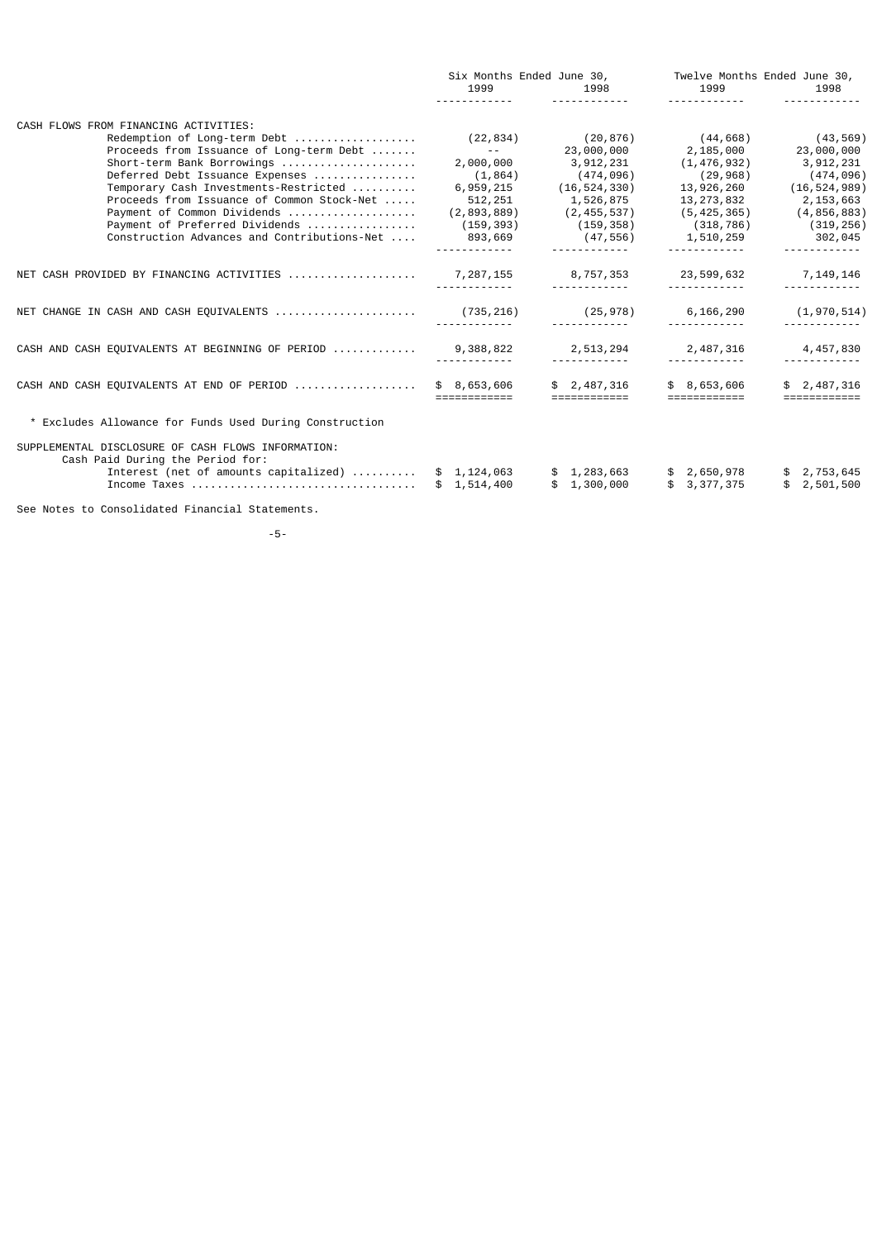|                                                                                                                                 | Six Months Ended June 30,<br>1999 | 1998                       | Twelve Months Ended June 30,<br>1999<br><u>.</u>                                                                                                                                                                                                                                                                                                                                                                                                                                                      | 1998                        |
|---------------------------------------------------------------------------------------------------------------------------------|-----------------------------------|----------------------------|-------------------------------------------------------------------------------------------------------------------------------------------------------------------------------------------------------------------------------------------------------------------------------------------------------------------------------------------------------------------------------------------------------------------------------------------------------------------------------------------------------|-----------------------------|
| CASH FLOWS FROM FINANCING ACTIVITIES:                                                                                           |                                   |                            |                                                                                                                                                                                                                                                                                                                                                                                                                                                                                                       |                             |
| Redemption of Long-term Debt                                                                                                    | (22, 834)                         | (20,876)                   | (44, 668)                                                                                                                                                                                                                                                                                                                                                                                                                                                                                             | (43, 569)                   |
| Proceeds from Issuance of Long-term Debt                                                                                        | <b>Contract Contract</b>          | 23,000,000                 | 2,185,000                                                                                                                                                                                                                                                                                                                                                                                                                                                                                             | 23,000,000                  |
| Short-term Bank Borrowings                                                                                                      | 2,000,000                         | 3,912,231                  | (1, 476, 932)                                                                                                                                                                                                                                                                                                                                                                                                                                                                                         | 3,912,231                   |
| Deferred Debt Issuance Expenses                                                                                                 | (1, 864)                          | (474, 096)                 | (29, 968)                                                                                                                                                                                                                                                                                                                                                                                                                                                                                             | (474, 096)                  |
| Temporary Cash Investments-Restricted                                                                                           | 6,959,215                         | (16, 524, 330)             | 13,926,260                                                                                                                                                                                                                                                                                                                                                                                                                                                                                            | (16, 524, 989)              |
| Proceeds from Issuance of Common Stock-Net                                                                                      | 512,251                           | 1,526,875                  | 13,273,832                                                                                                                                                                                                                                                                                                                                                                                                                                                                                            | 2,153,663                   |
| Payment of Common Dividends                                                                                                     | (2,893,889)                       | (2, 455, 537)              | (5, 425, 365)                                                                                                                                                                                                                                                                                                                                                                                                                                                                                         | (4, 856, 883)               |
| Payment of Preferred Dividends                                                                                                  | (159, 393)                        | (159, 358)                 | (318, 786)                                                                                                                                                                                                                                                                                                                                                                                                                                                                                            | (319, 256)                  |
| Construction Advances and Contributions-Net                                                                                     | 893,669                           | (47,556)                   | 1,510,259                                                                                                                                                                                                                                                                                                                                                                                                                                                                                             | 302,045                     |
|                                                                                                                                 |                                   |                            |                                                                                                                                                                                                                                                                                                                                                                                                                                                                                                       |                             |
| NET CASH PROVIDED BY FINANCING ACTIVITIES                                                                                       | 7, 287, 155                       | 8,757,353                  | 23,599,632                                                                                                                                                                                                                                                                                                                                                                                                                                                                                            | 7,149,146                   |
|                                                                                                                                 |                                   | (25, 978)                  | 6, 166, 290                                                                                                                                                                                                                                                                                                                                                                                                                                                                                           | (1, 970, 514)               |
| CASH AND CASH EQUIVALENTS AT BEGINNING OF PERIOD  9,388,822                                                                     |                                   | 2,513,294                  | 2,487,316                                                                                                                                                                                                                                                                                                                                                                                                                                                                                             | 4,457,830                   |
|                                                                                                                                 |                                   |                            |                                                                                                                                                                                                                                                                                                                                                                                                                                                                                                       |                             |
| CASH AND CASH EQUIVALENTS AT END OF PERIOD                                                                                      | \$8,653,606<br>============       | \$2,487,316                | \$8,653,606<br>$\begin{array}{cccccccccc} \multicolumn{2}{c}{} & \multicolumn{2}{c}{} & \multicolumn{2}{c}{} & \multicolumn{2}{c}{} & \multicolumn{2}{c}{} & \multicolumn{2}{c}{} & \multicolumn{2}{c}{} & \multicolumn{2}{c}{} & \multicolumn{2}{c}{} & \multicolumn{2}{c}{} & \multicolumn{2}{c}{} & \multicolumn{2}{c}{} & \multicolumn{2}{c}{} & \multicolumn{2}{c}{} & \multicolumn{2}{c}{} & \multicolumn{2}{c}{} & \multicolumn{2}{c}{} & \multicolumn{2}{c}{} & \multicolumn{2}{c}{} & \mult$ | \$2,487,316<br>============ |
| * Excludes Allowance for Funds Used During Construction                                                                         |                                   |                            |                                                                                                                                                                                                                                                                                                                                                                                                                                                                                                       |                             |
| SUPPLEMENTAL DISCLOSURE OF CASH FLOWS INFORMATION:<br>Cash Paid During the Period for:<br>Interest (net of amounts capitalized) | \$1,124,063<br>\$1,514,400        | \$1,283,663<br>\$1,300,000 | \$ 2,650,978<br>\$3,377,375                                                                                                                                                                                                                                                                                                                                                                                                                                                                           | \$2,753,645<br>\$2,501,500  |
| See Notes to Consolidated Financial Statements.                                                                                 |                                   |                            |                                                                                                                                                                                                                                                                                                                                                                                                                                                                                                       |                             |

-5-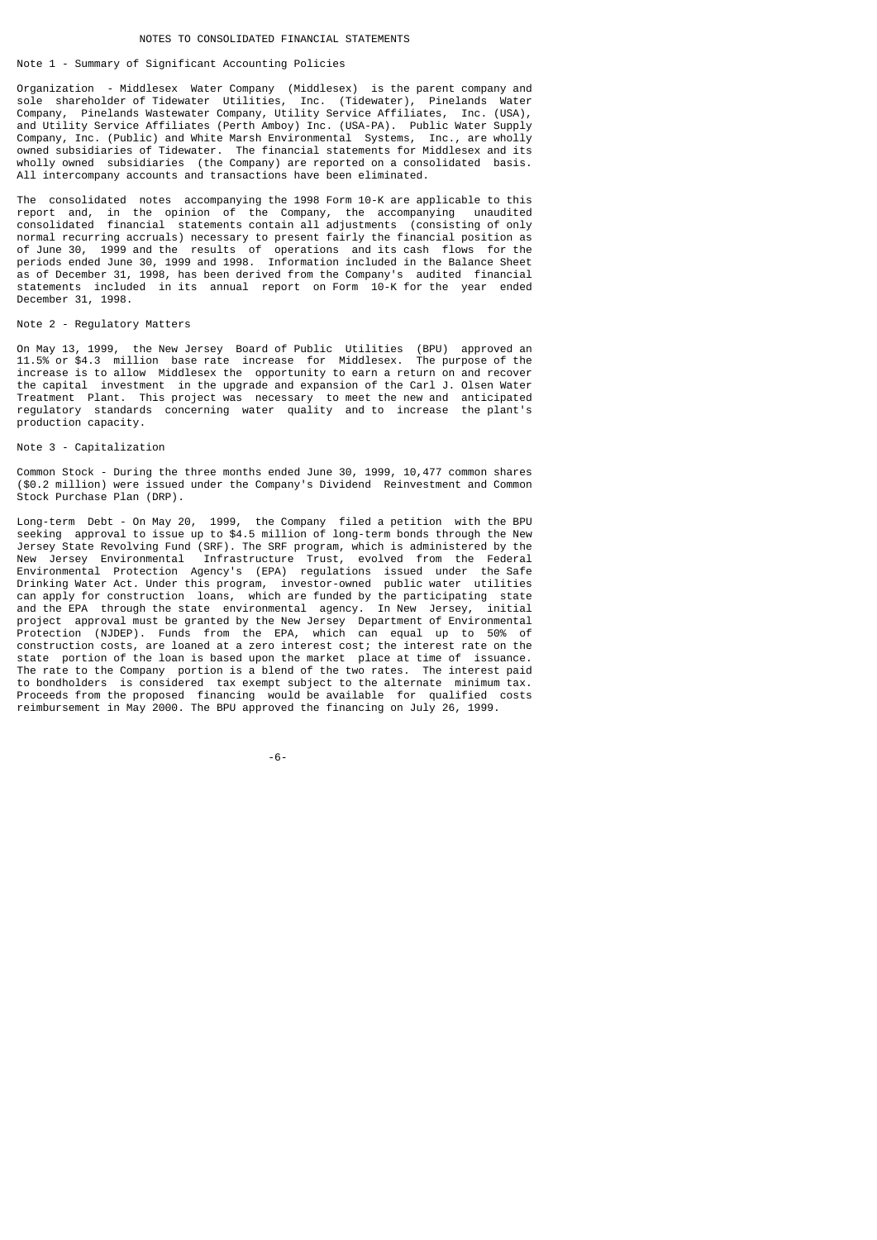# Note 1 - Summary of Significant Accounting Policies

Organization - Middlesex Water Company (Middlesex) is the parent company and sole shareholder of Tidewater Utilities, Inc. (Tidewater), Pinelands Water Company, Pinelands Wastewater Company, Utility Service Affiliates, Inc. (USA), and Utility Service Affiliates (Perth Amboy) Inc. (USA-PA). Public Water Supply Company, Inc. (Public) and White Marsh Environmental Systems, Inc., are wholly owned subsidiaries of Tidewater. The financial statements for Middlesex and its wholly owned subsidiaries (the Company) are reported on a consolidated basis. All intercompany accounts and transactions have been eliminated.

The consolidated notes accompanying the 1998 Form 10-K are applicable to this report and, in the opinion of the Company, the accompanying unaudited consolidated financial statements contain all adjustments (consisting of only normal recurring accruals) necessary to present fairly the financial position as of June 30, 1999 and the results of operations and its cash flows for the periods ended June 30, 1999 and 1998. Information included in the Balance Sheet as of December 31, 1998, has been derived from the Company's audited financial statements included in its annual report on Form 10-K for the year ended December 31, 1998.

# Note 2 - Regulatory Matters

On May 13, 1999, the New Jersey Board of Public Utilities (BPU) approved an 11.5% or \$4.3 million base rate increase for Middlesex. The purpose of the increase is to allow Middlesex the opportunity to earn a return on and recover the capital investment in the upgrade and expansion of the Carl J. Olsen Water Treatment Plant. This project was necessary to meet the new and anticipated regulatory standards concerning water quality and to increase the plant's production capacity.

## Note 3 - Capitalization

Common Stock - During the three months ended June 30, 1999, 10,477 common shares (\$0.2 million) were issued under the Company's Dividend Reinvestment and Common Stock Purchase Plan (DRP).

Long-term Debt - On May 20, 1999, the Company filed a petition with the BPU seeking approval to issue up to \$4.5 million of long-term bonds through the New Jersey State Revolving Fund (SRF). The SRF program, which is administered by the New Jersey Environmental Infrastructure Trust, evolved from the Federal Environmental Protection Agency's (EPA) regulations issued under the Safe Drinking Water Act. Under this program, investor-owned public water utilities can apply for construction loans, which are funded by the participating state and the EPA through the state environmental agency. In New Jersey, initial project approval must be granted by the New Jersey Department of Environmental Protection (NJDEP). Funds from the EPA, which can equal up to 50% of construction costs, are loaned at a zero interest cost; the interest rate on the state portion of the loan is based upon the market place at time of issuance. The rate to the Company portion is a blend of the two rates. The interest paid to bondholders is considered tax exempt subject to the alternate minimum tax. Proceeds from the proposed financing would be available for qualified costs reimbursement in May 2000. The BPU approved the financing on July 26, 1999.

-6-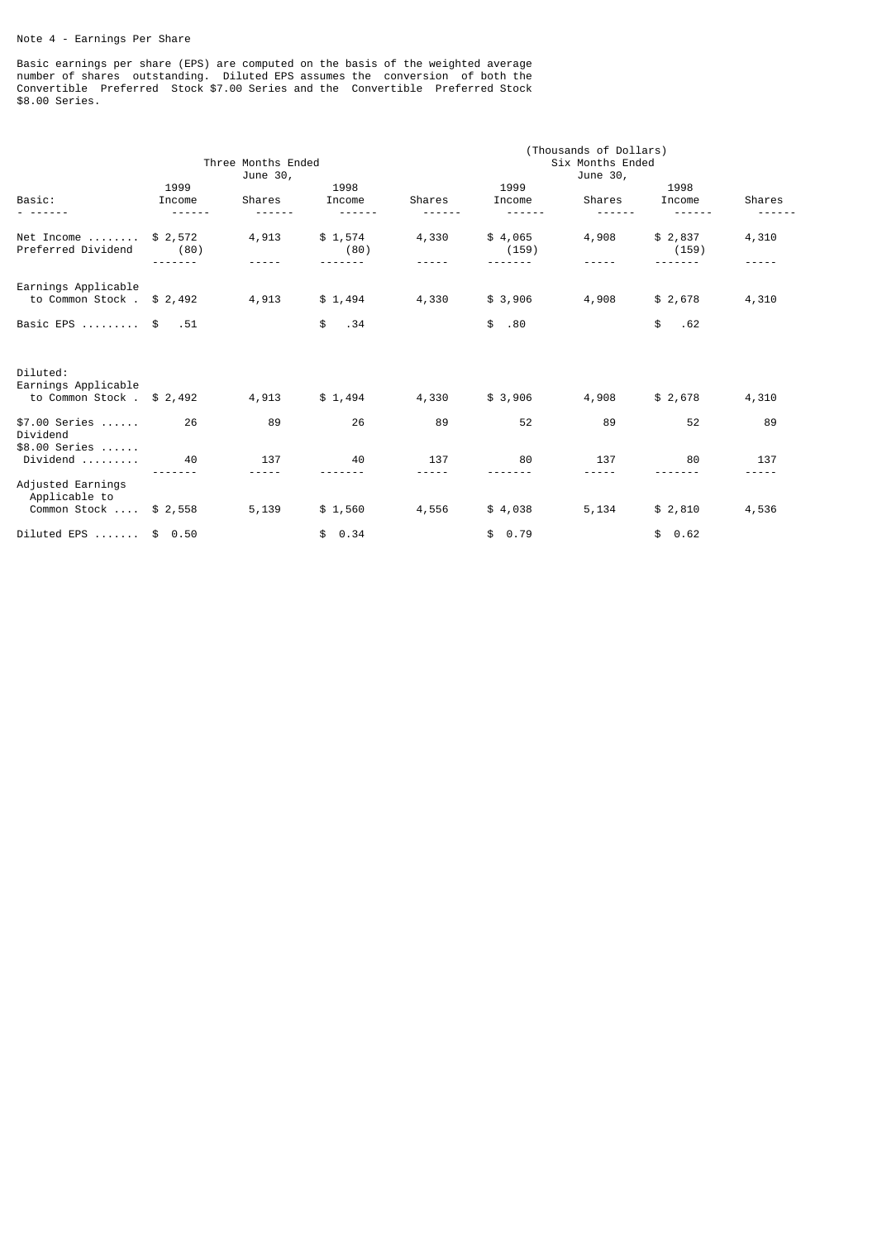# Note 4 - Earnings Per Share

Basic earnings per share (EPS) are computed on the basis of the weighted average number of shares outstanding. Diluted EPS assumes the conversion of both the Convertible Preferred Stock \$7.00 Series and the Convertible Preferred Stock \$8.00 Series.

|                                                                 | Three Months Ended<br>June 30, |        |                 | (Thousands of Dollars)<br>Six Months Ended<br>June 30, |                  |        |                  |                  |
|-----------------------------------------------------------------|--------------------------------|--------|-----------------|--------------------------------------------------------|------------------|--------|------------------|------------------|
| Basic:                                                          | 1999<br>Income                 | Shares | 1998<br>Income  | Shares                                                 | 1999<br>Income   | Shares | 1998<br>Income   | Shares           |
| Net Income<br>Preferred Dividend                                | \$2,572<br>(80)                | 4,913  | \$1,574<br>(80) | 4,330                                                  | \$4,065<br>(159) | 4,908  | \$2,837<br>(159) | 4,310            |
| Earnings Applicable<br>to Common Stock $.$ \$ 2,492             |                                | 4,913  | \$1,494         | 4,330                                                  | \$3,906          | 4,908  | \$2,678          | 4,310            |
| Basic EPS  \$ .51                                               |                                |        | \$<br>.34       |                                                        | \$<br>.80        |        | \$<br>.62        |                  |
| Diluted:<br>Earnings Applicable<br>to Common Stock $.$ \$ 2,492 |                                | 4,913  | \$1,494         | 4,330                                                  | \$3,906          | 4,908  | \$2,678          | 4,310            |
| $$7.00$ Series<br>Dividend<br>$$8.00$ Series                    | 26                             | 89     | 26              | 89                                                     | 52               | 89     | 52               | 89               |
| $Dividend$                                                      | 40                             | 137    | 40              | 137                                                    | 80               | 137    | 80               | 137<br>$- - - -$ |
| Adjusted Earnings<br>Applicable to<br>Common Stock  \$ 2,558    |                                | 5,139  | \$1,560         | 4,556                                                  | \$4,038          | 5,134  | \$2,810          | 4,536            |
| Diluted EPS  \$ 0.50                                            |                                |        | \$0.34          |                                                        | \$0.79           |        | \$0.62           |                  |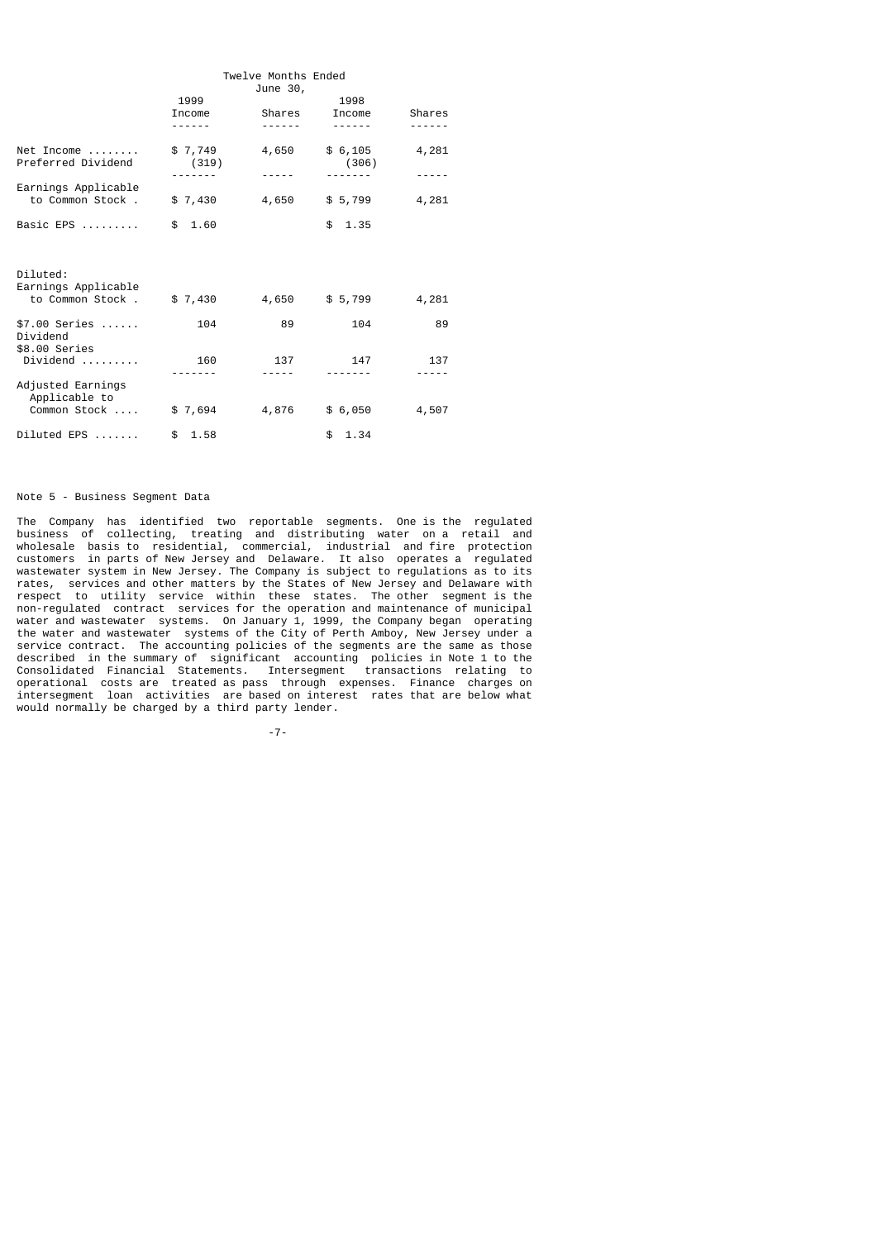|                                             | Twelve Months Ended<br>June 30, |                  |                          |                       |  |  |  |  |
|---------------------------------------------|---------------------------------|------------------|--------------------------|-----------------------|--|--|--|--|
|                                             | 1999<br>Income<br>.             | Shares<br>------ | 1998<br>Income<br>------ | Shares<br>- - - - - - |  |  |  |  |
|                                             |                                 |                  |                          |                       |  |  |  |  |
| $Net$ Income<br>Preferred Dividend          | \$7,749<br>(319)                | 4,650            | \$6,105<br>(306)         | 4,281                 |  |  |  |  |
| Earnings Applicable                         |                                 |                  |                          |                       |  |  |  |  |
| to Common Stock,                            |                                 | $$7,430$ 4,650   | \$ 5,799                 | 4,281                 |  |  |  |  |
| Basic EPS                                   | \$1.60                          |                  | \$1.35                   |                       |  |  |  |  |
|                                             |                                 |                  |                          |                       |  |  |  |  |
| Diluted:<br>Earnings Applicable             |                                 |                  |                          |                       |  |  |  |  |
| to Common Stock.                            | \$7,430                         | 4,650            | \$ 5,799                 | 4,281                 |  |  |  |  |
| $$7.00$ Series<br>Dividend<br>\$8.00 Series | 104                             | 89               | 104                      | 89                    |  |  |  |  |
|                                             | 160                             | 137              | 147                      | 137                   |  |  |  |  |
|                                             |                                 |                  |                          |                       |  |  |  |  |
| Adjusted Earnings<br>Applicable to          |                                 |                  |                          |                       |  |  |  |  |
| Common Stock                                | \$7,694                         | 4,876            | \$ 6,050                 | 4,507                 |  |  |  |  |
| $Diluted$ EPS $\ldots \ldots$               | \$1.58                          |                  | \$1.34                   |                       |  |  |  |  |

# Note 5 - Business Segment Data

The Company has identified two reportable segments. One is the regulated business of collecting, treating and distributing water on a retail and wholesale basis to residential, commercial, industrial and fire protection customers in parts of New Jersey and Delaware. It also operates a regulated wastewater system in New Jersey. The Company is subject to regulations as to its rates, services and other matters by the States of New Jersey and Delaware with respect to utility service within these states. The other segment is the non-regulated contract services for the operation and maintenance of municipal water and wastewater systems. On January 1, 1999, the Company began operating the water and wastewater systems of the City of Perth Amboy, New Jersey under a service contract. The accounting policies of the segments are the same as those described in the summary of significant accounting policies in Note 1 to the Consolidated Financial Statements. Intersegment transactions relating to operational costs are treated as pass through expenses. Finance charges on intersegment loan activities are based on interest rates that are below what would normally be charged by a third party lender.

-7-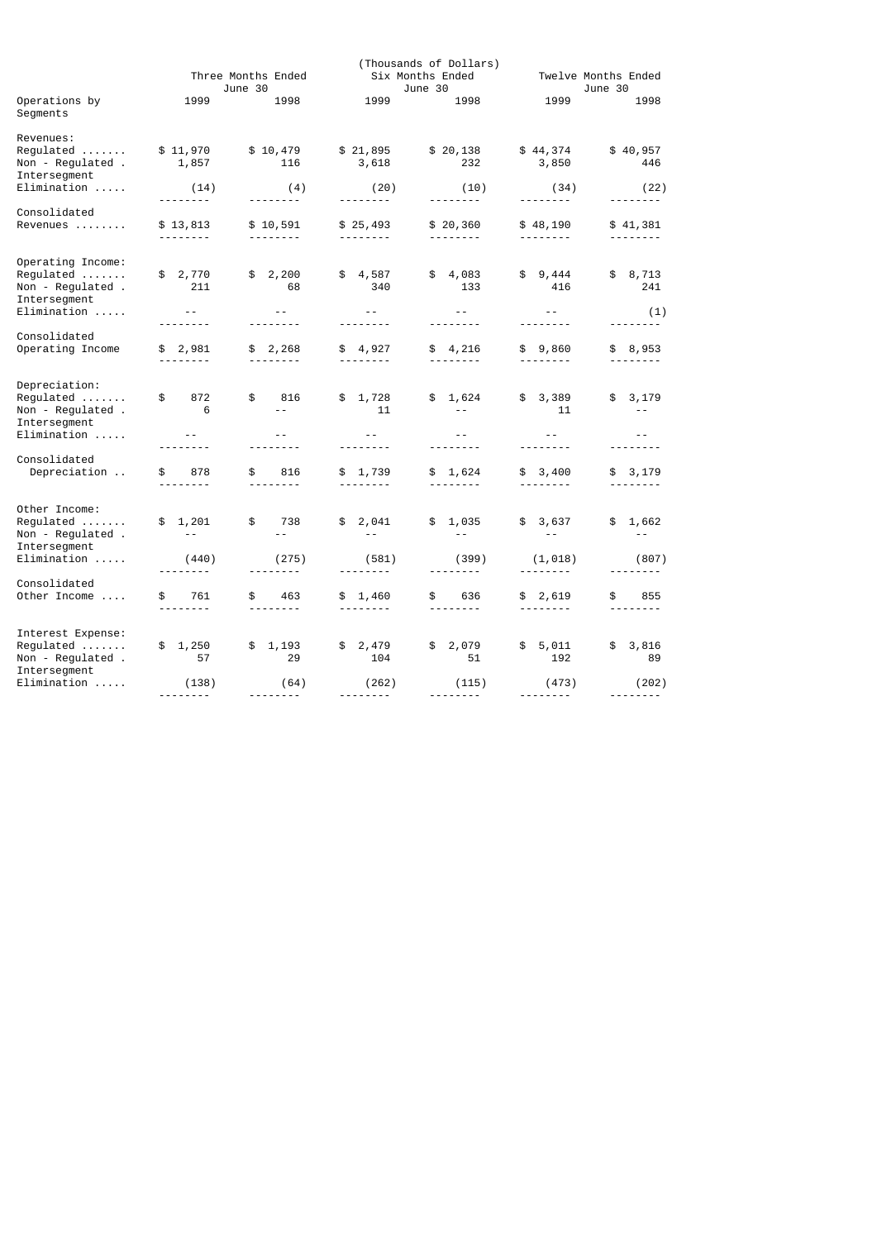|                                                                                    | Three Months Ended<br>June 30 |                                                                                                                                                                           | (Thousands of Dollars)<br>Six Months Ended<br>June 30 |                                  |                                    | Twelve Months Ended<br>June 30   |
|------------------------------------------------------------------------------------|-------------------------------|---------------------------------------------------------------------------------------------------------------------------------------------------------------------------|-------------------------------------------------------|----------------------------------|------------------------------------|----------------------------------|
| Operations by<br>Segments                                                          | 1999                          | 1998                                                                                                                                                                      | 1999                                                  | 1998                             | 1999                               | 1998                             |
| Revenues:<br>$Required \dots \dots$<br>Non - Regulated .<br>Intersegment           | \$11,970<br>1,857             | \$10,479<br>116                                                                                                                                                           | \$21,895<br>3,618                                     | \$20,138<br>232                  | \$44,374<br>3,850                  | \$40,957<br>446                  |
| $Elimination \ldots$ .                                                             | (14)                          | (4)<br><u>.</u>                                                                                                                                                           | (20)                                                  | (10)                             | (34)                               | (22)                             |
| Consolidated<br>Revenues                                                           | \$13,813<br>.                 | \$10,591<br>$\frac{1}{2} \frac{1}{2} \frac{1}{2} \frac{1}{2} \frac{1}{2} \frac{1}{2} \frac{1}{2} \frac{1}{2} \frac{1}{2} \frac{1}{2} \frac{1}{2} \frac{1}{2} \frac{1}{2}$ | \$25,493<br>---------                                 | \$20,360<br>--------             | \$48,190<br>--------               | \$41,381                         |
| Operating Income:<br>Non - Regulated .<br>Intersegment<br>$Elimination$            | \$2,770<br>211<br>$\sim$ $ -$ | \$2,200<br>68<br>$\sim$ $ -$                                                                                                                                              | \$4,587<br>340<br>$\sim$ $\sim$ $-$                   | \$4,083<br>133<br>$\sim$ $ -$    | \$9,444<br>416<br>$ -$             | \$8,713<br>241                   |
|                                                                                    | --------                      | <u>.</u>                                                                                                                                                                  |                                                       | --------                         | --------                           | (1)<br><u>.</u>                  |
| Consolidated<br>Operating Income                                                   | \$2,981<br>.                  | \$2,268                                                                                                                                                                   | \$4,927                                               | \$4,216                          | \$9,860<br><u> - - - - - - - -</u> | \$8,953<br>--------              |
| Depreciation:<br>Regulated<br>Non - Regulated .<br>Intersegment<br>$Elimination$   | \$<br>872<br>6<br>$- -$       | \$<br>816<br>$ -$<br>$- -$                                                                                                                                                | \$1,728<br>11<br>$\sim$ $-$                           | \$1,624<br>$- -$<br>$\sim$ $-$   | \$3,389<br>11<br>$- -$             | \$3,179<br>$- -$<br>$- -$        |
| Consolidated<br>Depreciation                                                       | - - - - - - - -<br>\$<br>878  | \$<br>816                                                                                                                                                                 | \$ 1,739                                              | \$1,624                          | \$3,400                            | \$3,179                          |
| Other Income:<br>$Required$<br>Non - Regulated .<br>Intersegment                   | \$1,201<br>$\sim$ $-$         | \$<br>738<br>$- -$                                                                                                                                                        | \$2,041<br>$\sim$ $-$                                 | \$1,035<br>$\sim$ $-$            | \$3,637                            | \$1,662                          |
| Elimination                                                                        | (440)<br>.                    | (275)<br>--------                                                                                                                                                         | (581)<br><u>.</u>                                     | (399)<br><u>.</u>                | (1, 018)                           | (807)<br>--------                |
| Consolidated<br>Other Income                                                       | 761<br>\$<br><u>.</u>         | \$<br>463<br>--------                                                                                                                                                     | \$1,460                                               | \$ 636<br>--------               | \$2,619<br>--------                | 855<br>\$<br>$- - - - - - - -$   |
| Interest Expense:<br>$Required \ldots \ldots$<br>Non - Regulated .<br>Intersegment | \$1,250<br>57                 | 1,193<br>\$<br>29                                                                                                                                                         | \$2,479<br>104                                        | \$2,079<br>51                    | \$5,011<br>192                     | \$3,816<br>89                    |
| $Elimination$                                                                      | (138)                         | (64)<br>---------                                                                                                                                                         | (262)<br>---------                                    | (115)<br><u> - - - - - - - -</u> | (473)<br>---------                 | (202)<br><u> - - - - - - - -</u> |
|                                                                                    |                               |                                                                                                                                                                           |                                                       |                                  |                                    |                                  |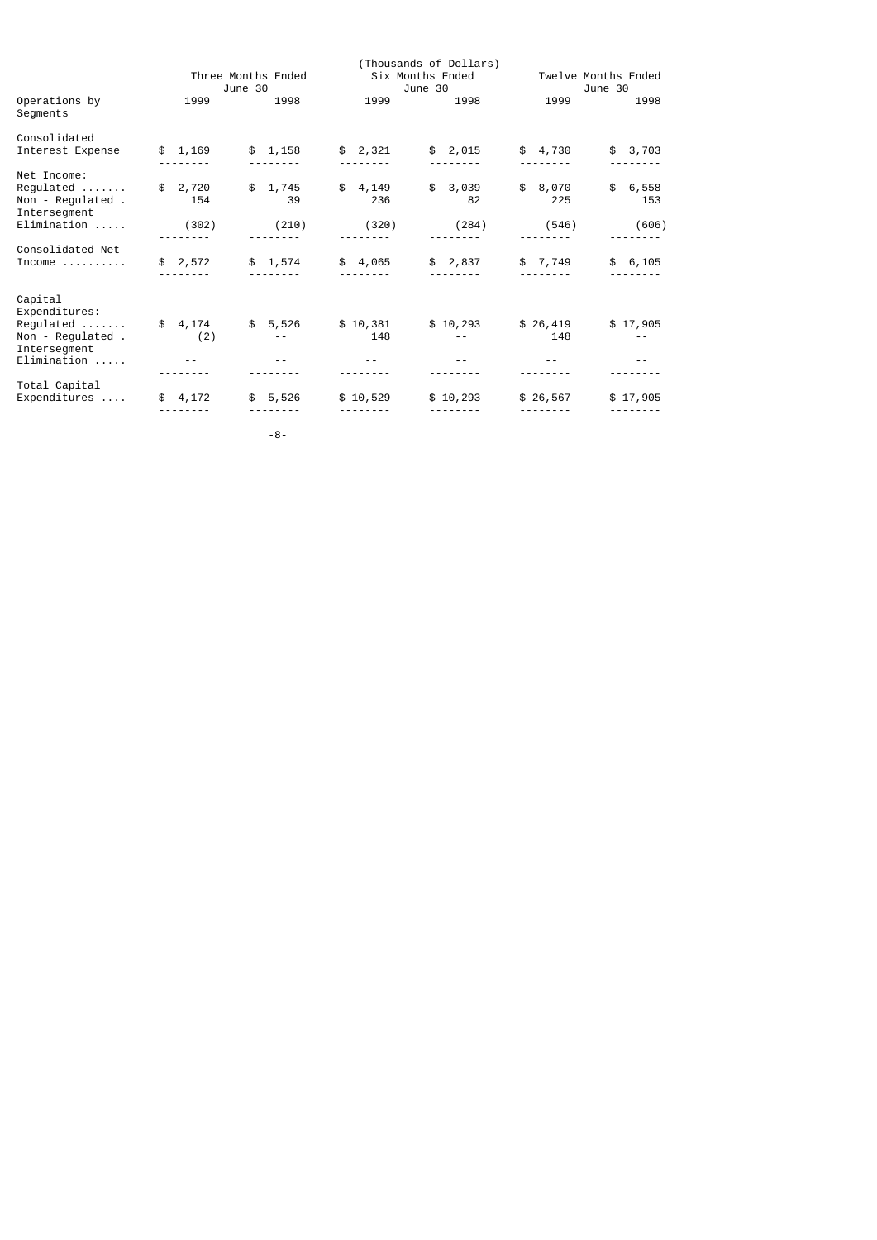|                                                               |                               |                   |                             | (Thousands of Dollars) |                 |                                |
|---------------------------------------------------------------|-------------------------------|-------------------|-----------------------------|------------------------|-----------------|--------------------------------|
|                                                               | Three Months Ended<br>June 30 |                   | Six Months Ended<br>June 30 |                        |                 | Twelve Months Ended<br>June 30 |
| Operations by<br>Segments                                     | 1999                          | 1998              | 1999                        | 1998                   | 1999            | 1998                           |
| Consolidated                                                  |                               |                   |                             |                        |                 |                                |
| Interest Expense                                              | \$1,169                       | \$1,158           | \$2,321                     | \$2,015                | \$4,730         | \$3,703                        |
| Net Income:                                                   |                               |                   |                             |                        |                 |                                |
| Regulated<br>Non - Regulated .<br>Intersegment                | \$2,720<br>154                | \$1,745<br>39     | \$4,149<br>236              | \$3,039<br>82          | \$ 8,070<br>225 | \$6,558<br>153                 |
| Elimination                                                   | (302)                         | (210)             | (320)                       | (284)                  | (546)           | (606)                          |
| Consolidated Net                                              |                               |                   |                             |                        |                 |                                |
| $Income \dots \dots \dots$                                    | \$2,572                       | \$1,574           | \$4,065                     | \$2,837                | \$ 7,749        | \$6,105                        |
| Capital<br>Expenditures:                                      |                               |                   |                             |                        |                 |                                |
| $Required \ldots \ldots$<br>Non - Regulated .<br>Intersegment | \$4,174<br>(2)                | $\sim$ $\sim$ $-$ | $$5,526$ $$10,381$<br>148   | \$10,293               | \$26,419<br>148 | \$17,905<br>$- -$              |
| $Elimination$                                                 |                               |                   |                             |                        |                 |                                |
| Total Capital                                                 |                               |                   |                             |                        |                 |                                |
| Expenditures                                                  | \$4,172                       | \$5,526           | \$10,529                    | \$10,293               | \$26,567        | \$17,905                       |
|                                                               |                               |                   |                             |                        |                 |                                |

-8-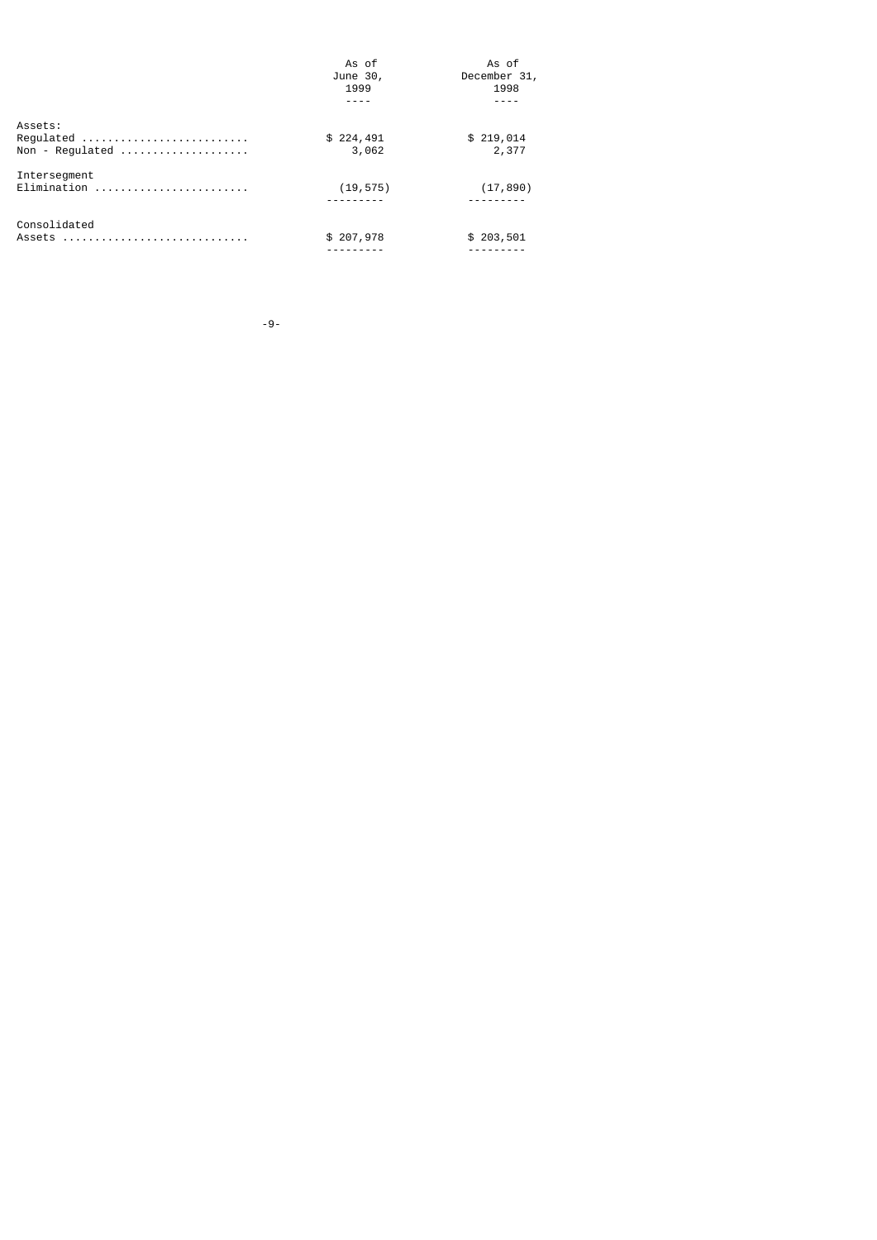|                 | As of     | As of        |
|-----------------|-----------|--------------|
|                 | June 30,  | December 31, |
|                 | 1999      | 1998         |
|                 |           |              |
| Assets:         |           |              |
| Regulated       | \$224,491 | \$219,014    |
| Non - Regulated | 3,062     | 2,377        |
| Intersegment    |           |              |
|                 | (19, 575) | (17, 890)    |
|                 |           |              |
| Consolidated    |           |              |
| Assets          | \$207,978 | \$203,501    |
|                 |           |              |

-9-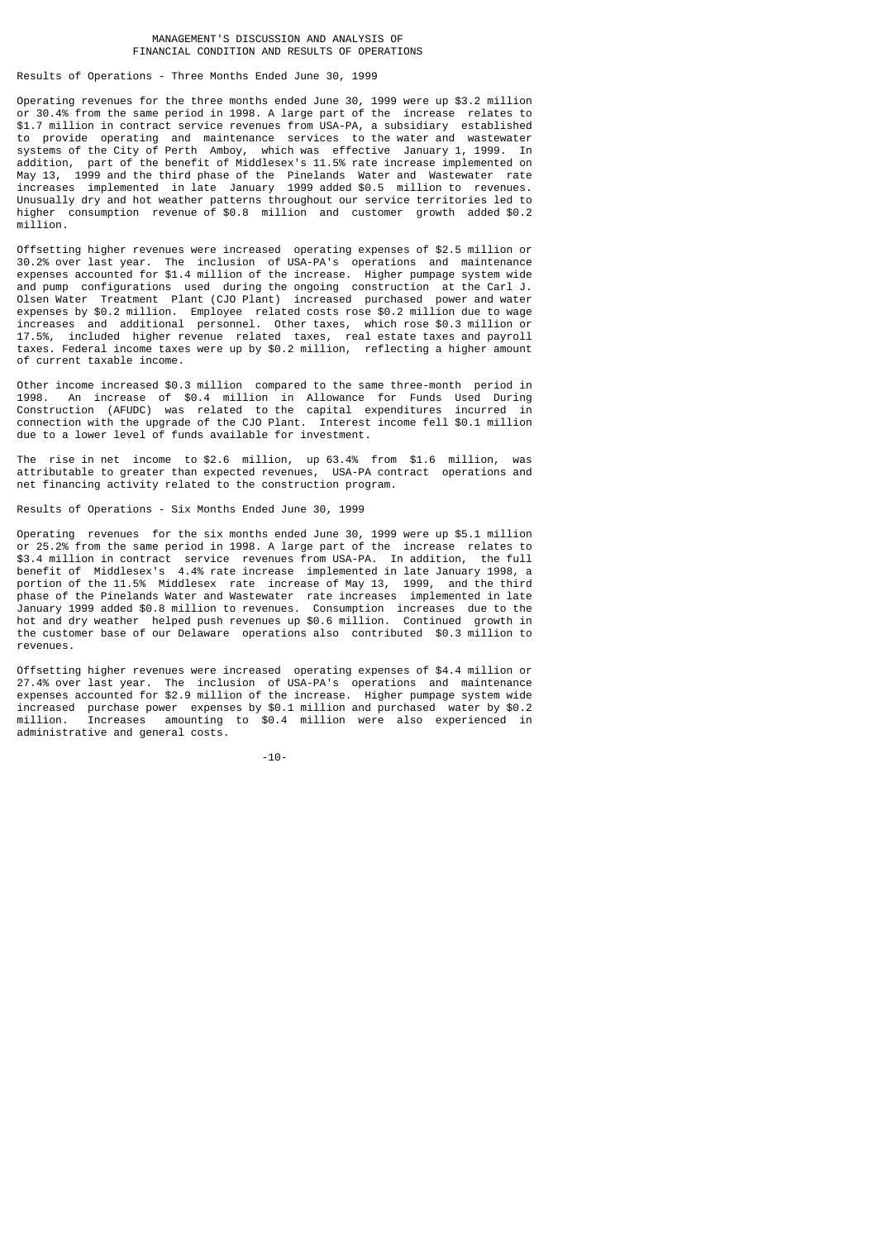# MANAGEMENT'S DISCUSSION AND ANALYSIS OF FINANCIAL CONDITION AND RESULTS OF OPERATIONS

Results of Operations - Three Months Ended June 30, 1999

Operating revenues for the three months ended June 30, 1999 were up \$3.2 million or 30.4% from the same period in 1998. A large part of the increase relates to \$1.7 million in contract service revenues from USA-PA, a subsidiary established to provide operating and maintenance services to the water and wastewater systems of the City of Perth Amboy, which was effective January 1, 1999. In addition, part of the benefit of Middlesex's 11.5% rate increase implemented on May 13, 1999 and the third phase of the Pinelands Water and Wastewater rate increases implemented in late January 1999 added \$0.5 million to revenues. Unusually dry and hot weather patterns throughout our service territories led to higher consumption revenue of \$0.8 million and customer growth added \$0.2 million.

Offsetting higher revenues were increased operating expenses of \$2.5 million or 30.2% over last year. The inclusion of USA-PA's operations and maintenance expenses accounted for \$1.4 million of the increase. Higher pumpage system wide and pump configurations used during the ongoing construction at the Carl J. Treatment Plant (CJO Plant) increased purchased power and water expenses by \$0.2 million. Employee related costs rose \$0.2 million due to wage increases and additional personnel. Other taxes, which rose \$0.3 million or 17.5%, included higher revenue related taxes, real estate taxes and payroll taxes. Federal income taxes were up by \$0.2 million, reflecting a higher amount of current taxable income.

Other income increased \$0.3 million compared to the same three-month period in 1998. An increase of \$0.4 million in Allowance for Funds Used During Construction (AFUDC) was related to the capital expenditures incurred in connection with the upgrade of the CJO Plant. Interest income fell \$0.1 million due to a lower level of funds available for investment.

The rise in net income to \$2.6 million, up 63.4% from \$1.6 million, was attributable to greater than expected revenues, USA-PA contract operations and net financing activity related to the construction program.

Results of Operations - Six Months Ended June 30, 1999

Operating revenues for the six months ended June 30, 1999 were up \$5.1 million or 25.2% from the same period in 1998. A large part of the increase relates to \$3.4 million in contract service revenues from USA-PA. In addition, the full benefit of Middlesex's 4.4% rate increase implemented in late January 1998, a portion of the 11.5% Middlesex rate increase of May 13, 1999, and the third phase of the Pinelands Water and Wastewater rate increases implemented in late January 1999 added \$0.8 million to revenues. Consumption increases due to the hot and dry weather helped push revenues up \$0.6 million. Continued growth in the customer base of our Delaware operations also contributed \$0.3 million to revenues.

Offsetting higher revenues were increased operating expenses of \$4.4 million or 27.4% over last year. The inclusion of USA-PA's operations and maintenance expenses accounted for \$2.9 million of the increase. Higher pumpage system wide increased purchase power expenses by \$0.1 million and purchased water by \$0.2 million. Increases amounting to \$0.4 million were also experienced in administrative and general costs.

-10-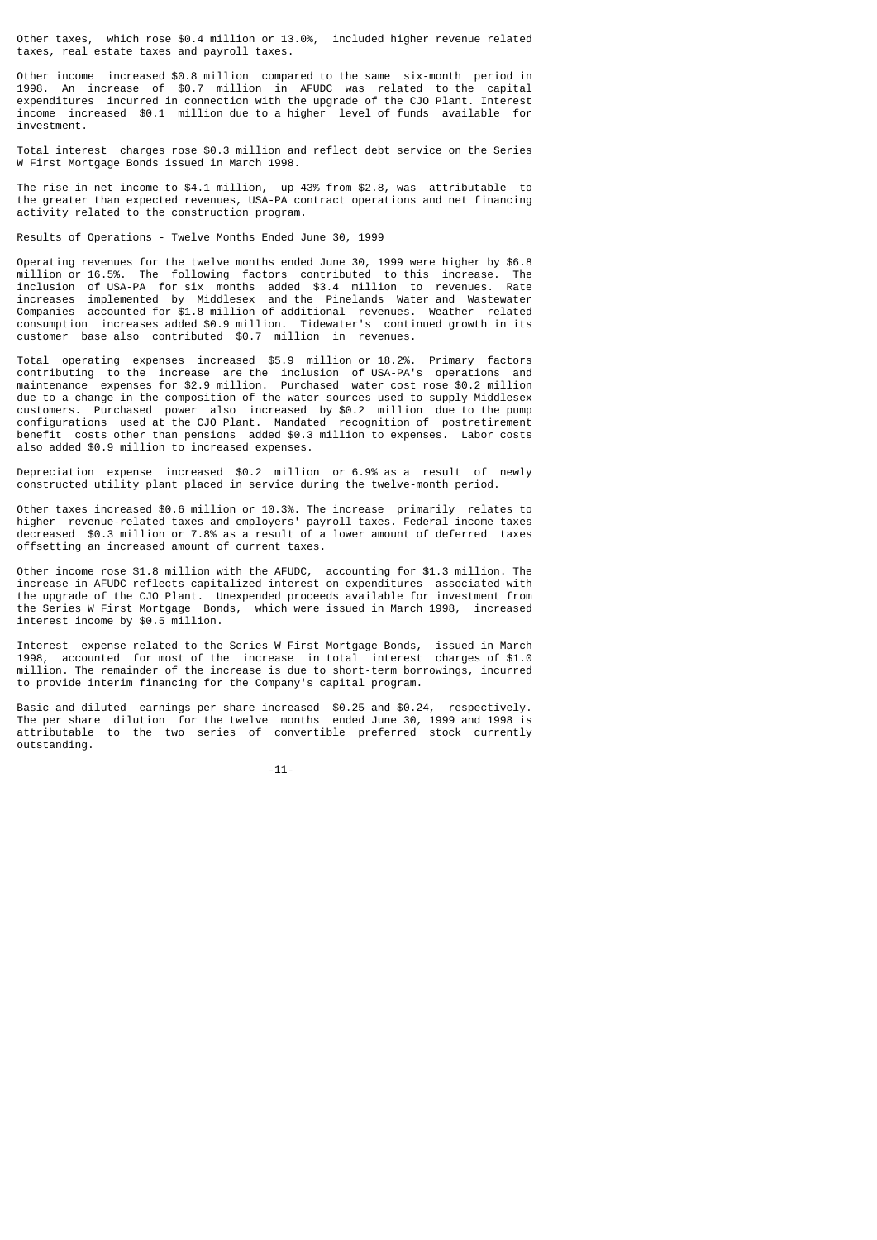Other taxes, which rose \$0.4 million or 13.0%, included higher revenue related taxes, real estate taxes and payroll taxes.

Other income increased \$0.8 million compared to the same six-month period in 1998. An increase of \$0.7 million in AFUDC was related to the capital expenditures incurred in connection with the upgrade of the CJO Plant. Interest income increased \$0.1 million due to a higher level of funds available for investment.

Total interest charges rose \$0.3 million and reflect debt service on the Series W First Mortgage Bonds issued in March 1998.

The rise in net income to \$4.1 million, up 43% from \$2.8, was attributable to the greater than expected revenues, USA-PA contract operations and net financing activity related to the construction program.

Results of Operations - Twelve Months Ended June 30, 1999

Operating revenues for the twelve months ended June 30, 1999 were higher by \$6.8 million or 16.5%. The following factors contributed to this increase. The inclusion of USA-PA for six months added \$3.4 million to revenues. Rate increases implemented by Middlesex and the Pinelands Water and Wastewater Companies accounted for \$1.8 million of additional revenues. Weather related consumption increases added \$0.9 million. Tidewater's continued growth in its customer base also contributed \$0.7 million in revenues.

Total operating expenses increased \$5.9 million or 18.2%. Primary factors contributing to the increase are the inclusion of USA-PA's operations and maintenance expenses for \$2.9 million. Purchased water cost rose \$0.2 million due to a change in the composition of the water sources used to supply Middlesex customers. Purchased power also increased by \$0.2 million due to the pump configurations used at the CJO Plant. Mandated recognition of postretirement benefit costs other than pensions added \$0.3 million to expenses. Labor costs also added \$0.9 million to increased expenses.

Depreciation expense increased \$0.2 million or 6.9% as a result of newly constructed utility plant placed in service during the twelve-month period.

Other taxes increased \$0.6 million or 10.3%. The increase primarily relates to higher revenue-related taxes and employers' payroll taxes. Federal income taxes decreased \$0.3 million or 7.8% as a result of a lower amount of deferred taxes offsetting an increased amount of current taxes.

Other income rose \$1.8 million with the AFUDC, accounting for \$1.3 million. The increase in AFUDC reflects capitalized interest on expenditures associated with the upgrade of the CJO Plant. Unexpended proceeds available for investment from the Series W First Mortgage Bonds, which were issued in March 1998, increased interest income by \$0.5 million.

Interest expense related to the Series W First Mortgage Bonds, issued in March 1998, accounted for most of the increase in total interest charges of \$1.0 million. The remainder of the increase is due to short-term borrowings, incurred to provide interim financing for the Company's capital program.

Basic and diluted earnings per share increased \$0.25 and \$0.24, respectively. The per share dilution for the twelve months ended June 30, 1999 and 1998 is attributable to the two series of convertible preferred stock currently outstanding.

-11-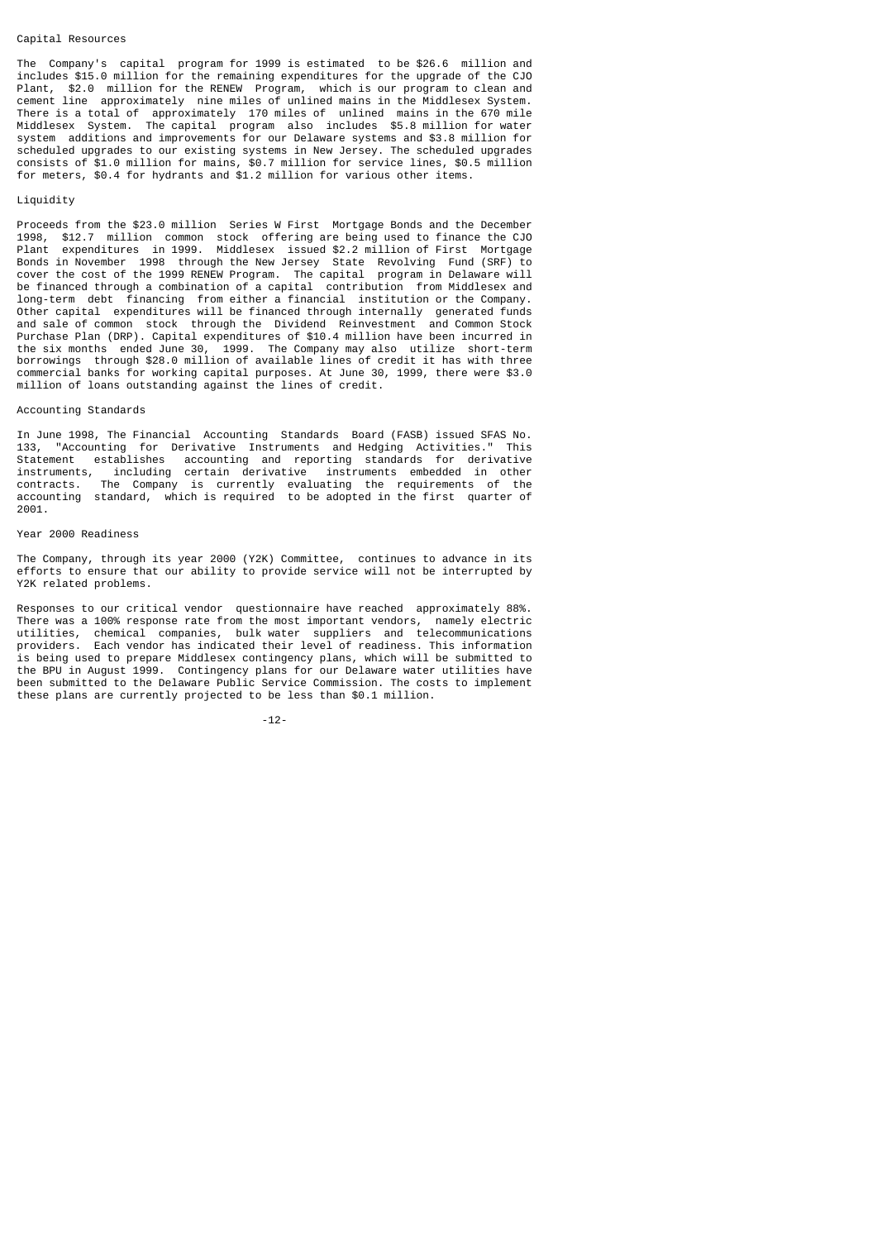#### Capital Resources

The Company's capital program for 1999 is estimated to be \$26.6 million and includes \$15.0 million for the remaining expenditures for the upgrade of the CJO Plant, \$2.0 million for the RENEW Program, which is our program to clean and cement line approximately nine miles of unlined mains in the Middlesex System. There is a total of approximately 170 miles of unlined mains in the 670 mile Middlesex System. The capital program also includes \$5.8 million for water system additions and improvements for our Delaware systems and \$3.8 million for scheduled upgrades to our existing systems in New Jersey. The scheduled upgrades consists of \$1.0 million for mains, \$0.7 million for service lines, \$0.5 million for meters, \$0.4 for hydrants and \$1.2 million for various other items.

#### Liquidity

Proceeds from the \$23.0 million Series W First Mortgage Bonds and the December 1998, \$12.7 million common stock offering are being used to finance the CJO Plant expenditures in 1999. Middlesex issued \$2.2 million of First Mortgage Bonds in November 1998 through the New Jersey State Revolving Fund (SRF) to cover the cost of the 1999 RENEW Program. The capital program in Delaware will be financed through a combination of a capital contribution from Middlesex and long-term debt financing from either a financial institution or the Company. Other capital expenditures will be financed through internally generated funds and sale of common stock through the Dividend Reinvestment and Common Stock Purchase Plan (DRP). Capital expenditures of \$10.4 million have been incurred in the six months ended June 30, 1999. The Company may also utilize short-term borrowings through \$28.0 million of available lines of credit it has with three commercial banks for working capital purposes. At June 30, 1999, there were \$3.0 million of loans outstanding against the lines of credit.

# Accounting Standards

In June 1998, The Financial Accounting Standards Board (FASB) issued SFAS No. 133, "Accounting for Derivative Instruments and Hedging Activities." This Statement establishes accounting and reporting standards for derivative instruments, including certain derivative instruments embedded in other contracts. The Company is currently evaluating the requirements of the accounting standard, which is required to be adopted in the first quarter of 2001.

# Year 2000 Readiness

The Company, through its year 2000 (Y2K) Committee, continues to advance in its efforts to ensure that our ability to provide service will not be interrupted by Y2K related problems.

Responses to our critical vendor questionnaire have reached approximately 88%. There was a 100% response rate from the most important vendors, namely electric utilities, chemical companies, bulk water suppliers and telecommunications providers. Each vendor has indicated their level of readiness. This information is being used to prepare Middlesex contingency plans, which will be submitted to the BPU in August 1999. Contingency plans for our Delaware water utilities have been submitted to the Delaware Public Service Commission. The costs to implement these plans are currently projected to be less than \$0.1 million.

-12-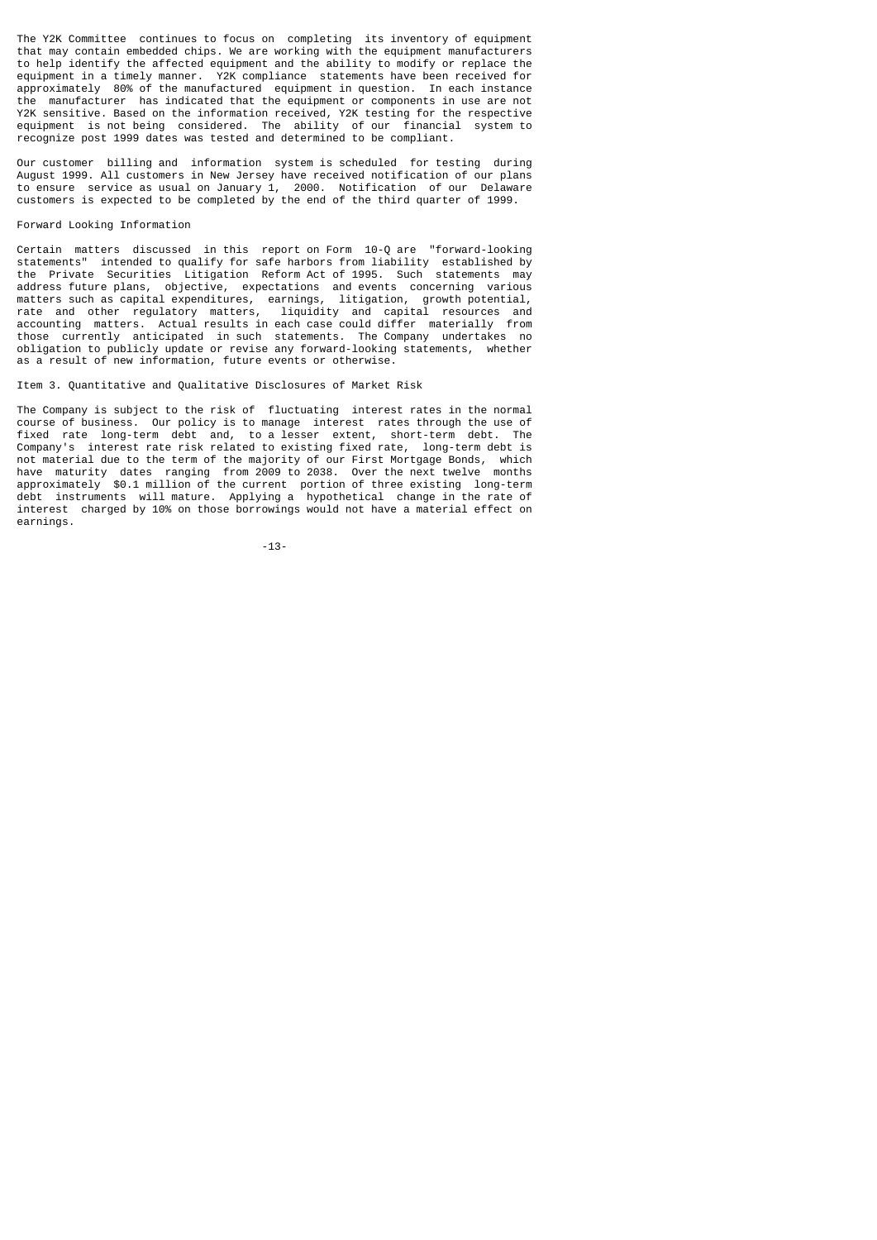The Y2K Committee continues to focus on completing its inventory of equipment that may contain embedded chips. We are working with the equipment manufacturers to help identify the affected equipment and the ability to modify or replace the equipment in a timely manner. Y2K compliance statements have been received for approximately 80% of the manufactured equipment in question. In each instance the manufacturer has indicated that the equipment or components in use are not Y2K sensitive. Based on the information received, Y2K testing for the respective equipment is not being considered. The ability of our financial system to recognize post 1999 dates was tested and determined to be compliant.

Our customer billing and information system is scheduled for testing during August 1999. All customers in New Jersey have received notification of our plans to ensure service as usual on January 1, 2000. Notification of our Delaware customers is expected to be completed by the end of the third quarter of 1999.

#### Forward Looking Information

Certain matters discussed in this report on Form 10-Q are "forward-looking statements" intended to qualify for safe harbors from liability established by the Private Securities Litigation Reform Act of 1995. Such statements may address future plans, objective, expectations and events concerning various matters such as capital expenditures, earnings, litigation, growth potential, rate and other regulatory matters, liquidity and capital resources and accounting matters. Actual results in each case could differ materially from those currently anticipated in such statements. The Company undertakes no obligation to publicly update or revise any forward-looking statements, whether as a result of new information, future events or otherwise.

Item 3. Quantitative and Qualitative Disclosures of Market Risk

The Company is subject to the risk of fluctuating interest rates in the normal course of business. Our policy is to manage interest rates through the use of fixed rate long-term debt and, to a lesser extent, short-term debt. The Company's interest rate risk related to existing fixed rate, long-term debt is not material due to the term of the majority of our First Mortgage Bonds, which have maturity dates ranging from 2009 to 2038. Over the next twelve months approximately \$0.1 million of the current portion of three existing long-term debt instruments will mature. Applying a hypothetical change in the rate of interest charged by 10% on those borrowings would not have a material effect on earnings.

-13-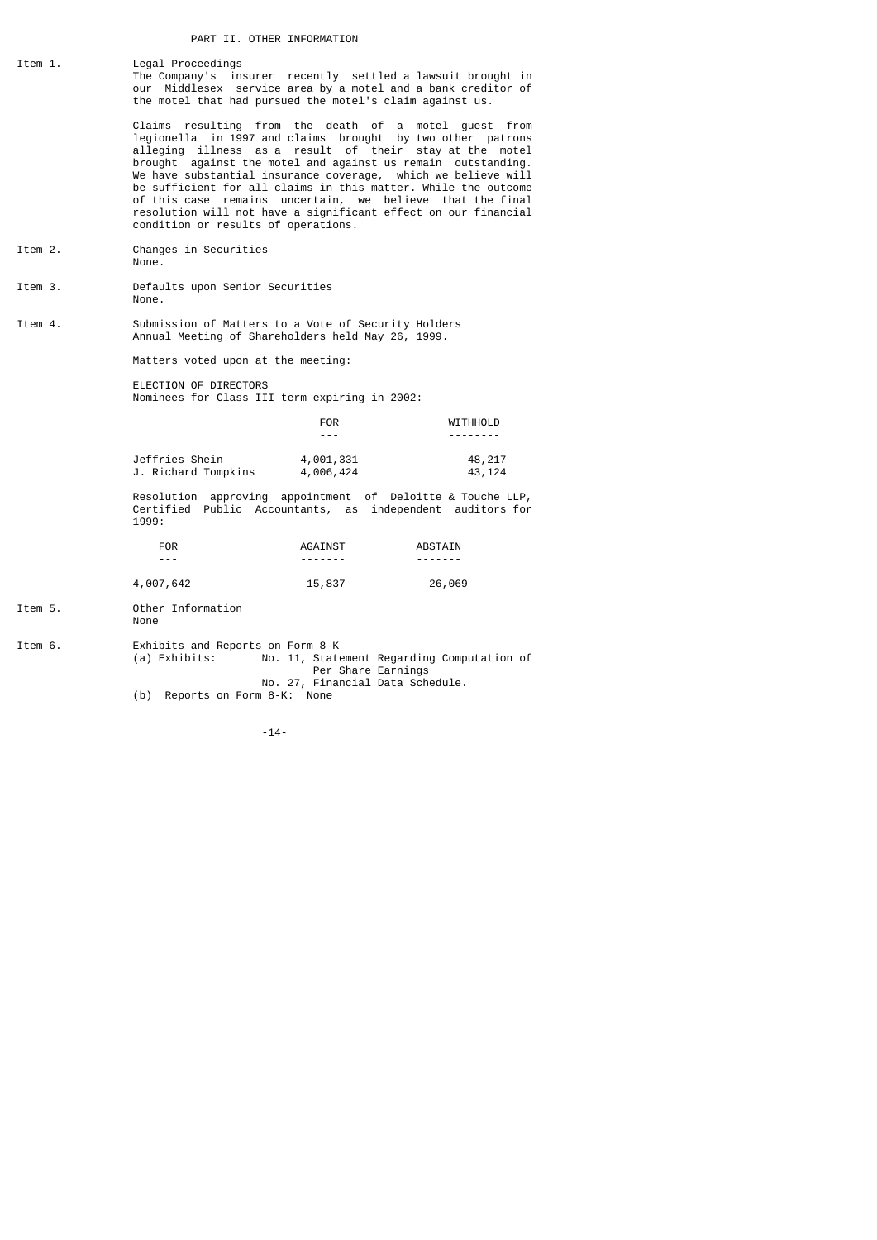# PART II. OTHER INFORMATION

Item 1. Legal Proceedings The Company's insurer recently settled a lawsuit brought in our Middlesex service area by a motel and a bank creditor of the motel that had pursued the motel's claim against us.

 Claims resulting from the death of a motel guest from legionella in 1997 and claims brought by two other patrons alleging illness as a result of their stay at the motel brought against the motel and against us remain outstanding. We have substantial insurance coverage, which we believe will be sufficient for all claims in this matter. While the outcome of this case remains uncertain, we believe that the final resolution will not have a significant effect on our financial condition or results of operations.

- Item 2. Changes in Securities None.
- Item 3. Defaults upon Senior Securities None.
- Item 4. Submission of Matters to a Vote of Security Holders Annual Meeting of Shareholders held May 26, 1999.

Matters voted upon at the meeting:

 ELECTION OF DIRECTORS Nominees for Class III term expiring in 2002:

|                     | <b>FOR</b> | WITHHOLD |  |
|---------------------|------------|----------|--|
|                     | $- - -$    |          |  |
| Jeffries Shein      | 4,001,331  | 48,217   |  |
| J. Richard Tompkins | 4,006,424  | 43,124   |  |

 Resolution approving appointment of Deloitte & Touche LLP, Certified Public Accountants, as independent auditors for 1999:

| <b>FOR</b> | AGAINST  | ABSTAIN |
|------------|----------|---------|
| $- - -$    | -------- |         |
| 4,007,642  | 15,837   | 26,069  |

- Item 5. Other Information None
- Item 6. Exhibits and Reports on Form 8-K<br>(a) Exhibits: No. 11, State No. 11, Statement Regarding Computation of<br>Per Share Earnings Per Share Earnings No. 27, Financial Data Schedule.
- (b) Reports on Form 8-K: None

-14-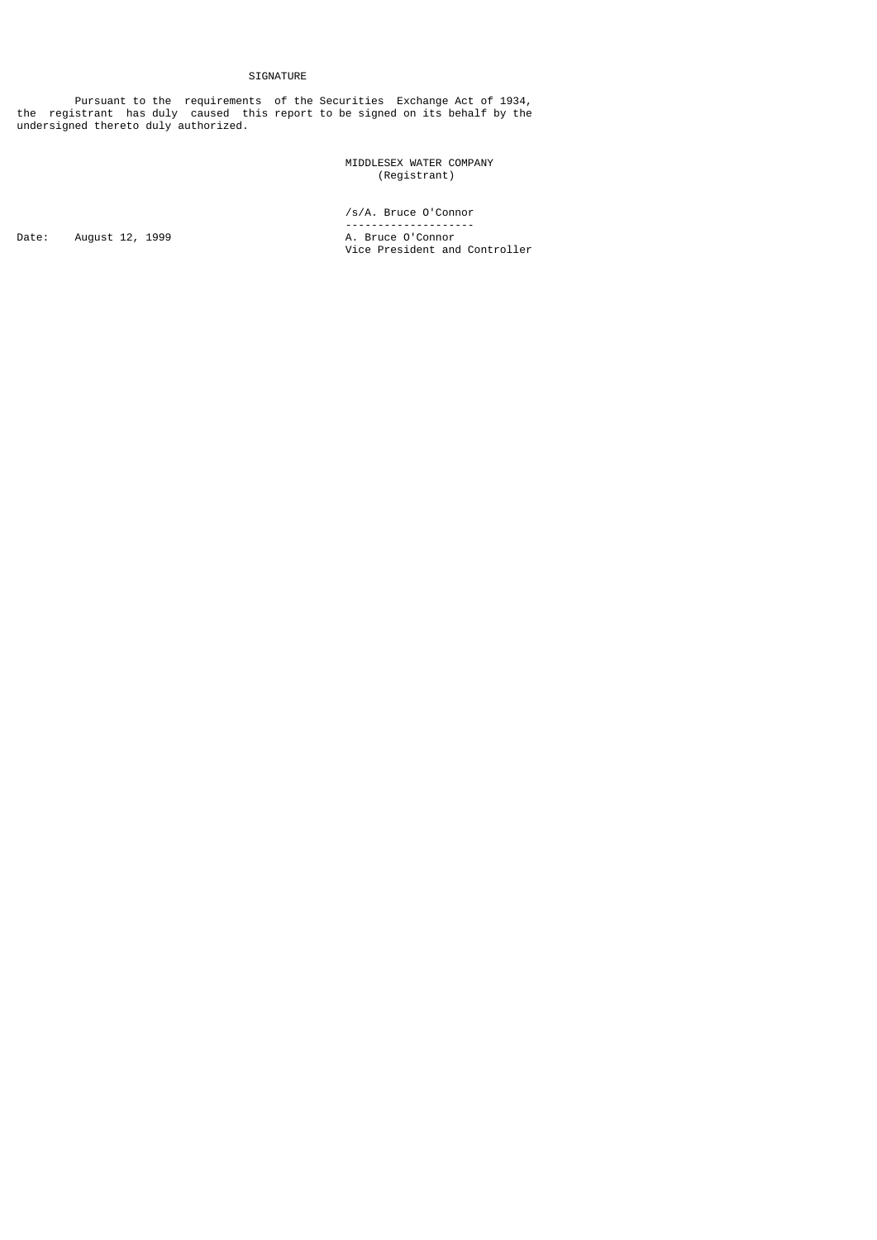# SIGNATURE

 Pursuant to the requirements of the Securities Exchange Act of 1934, the registrant has duly caused this report to be signed on its behalf by the undersigned thereto duly authorized.

 MIDDLESEX WATER COMPANY (Registrant)

/s/A. Bruce O'Connor

Date: August 12, 1999 A. Bruce O'Connor

 -------------------- Vice President and Controller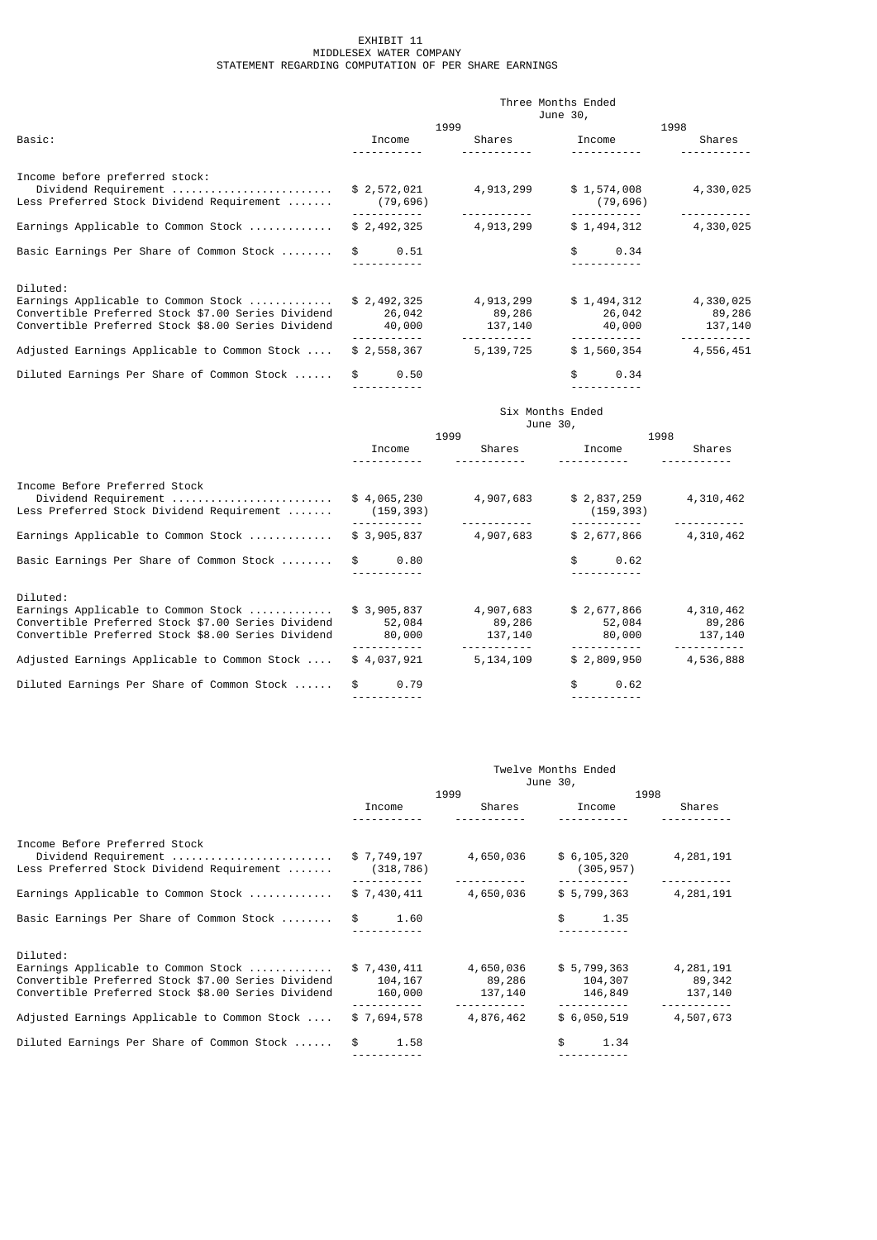# EXHIBIT 11 MIDDLESEX WATER COMPANY STATEMENT REGARDING COMPUTATION OF PER SHARE EARNINGS

|                                                    | Three Months Ended |             |             |           |  |  |
|----------------------------------------------------|--------------------|-------------|-------------|-----------|--|--|
|                                                    |                    |             | June 30,    |           |  |  |
|                                                    |                    | 1999        | 1998        |           |  |  |
| Basic:                                             | Income             | Shares      | Income      | Shares    |  |  |
|                                                    |                    |             |             |           |  |  |
| Income before preferred stock:                     |                    |             |             |           |  |  |
| Dividend Requirement                               | \$2,572,021        | 4, 913, 299 | \$1,574,008 | 4,330,025 |  |  |
| Less Preferred Stock Dividend Requirement          | (79, 696)          |             | (79, 696)   |           |  |  |
| Earnings Applicable to Common Stock                | \$2,492,325        | 4,913,299   | \$1,494,312 | 4,330,025 |  |  |
|                                                    |                    |             |             |           |  |  |
| Basic Earnings Per Share of Common Stock           | 0.51<br>\$         |             | \$<br>0.34  |           |  |  |
|                                                    |                    |             |             |           |  |  |
| Diluted:                                           |                    |             |             |           |  |  |
| Earnings Applicable to Common Stock                | \$2,492,325        | 4,913,299   | \$1,494,312 | 4,330,025 |  |  |
| Convertible Preferred Stock \$7.00 Series Dividend | 26,042             | 89,286      | 26,042      | 89,286    |  |  |
| Convertible Preferred Stock \$8.00 Series Dividend | 40,000             | 137,140     | 40,000      | 137,140   |  |  |
|                                                    |                    |             |             |           |  |  |
| Adjusted Earnings Applicable to Common Stock       | \$2,558,367        | 5, 139, 725 | \$1,560,354 | 4,556,451 |  |  |
| Diluted Earnings Per Share of Common Stock         | \$<br>0.50         |             | \$<br>0.34  |           |  |  |
|                                                    |                    |             |             |           |  |  |

|                                                                                                                                                             | Six Months Ended<br>June 30,    |                                |                                 |                                |
|-------------------------------------------------------------------------------------------------------------------------------------------------------------|---------------------------------|--------------------------------|---------------------------------|--------------------------------|
|                                                                                                                                                             |                                 | 1999                           | 1998                            |                                |
|                                                                                                                                                             | Income                          | Shares                         | Income                          | Shares                         |
| Income Before Preferred Stock<br>Dividend Requirement<br>Less Preferred Stock Dividend Requirement                                                          | \$4,065,230<br>(159, 393)       | 4,907,683                      | \$2,837,259<br>(159, 393)       | 4,310,462                      |
| Earnings Applicable to Common Stock                                                                                                                         | \$3,905,837                     | 4,907,683                      | \$2,677,866                     | 4,310,462                      |
| Basic Earnings Per Share of Common Stock                                                                                                                    | \$<br>0.80                      |                                | \$<br>0.62                      |                                |
| Diluted:<br>Earnings Applicable to Common Stock<br>Convertible Preferred Stock \$7.00 Series Dividend<br>Convertible Preferred Stock \$8.00 Series Dividend | \$3,905,837<br>52,084<br>80,000 | 4,907,683<br>89,286<br>137,140 | \$2,677,866<br>52,084<br>80,000 | 4,310,462<br>89,286<br>137,140 |
| Adjusted Earnings Applicable to Common Stock                                                                                                                | \$4,037,921                     | 5, 134, 109                    | \$2,809,950                     | 4,536,888                      |
| Diluted Earnings Per Share of Common Stock                                                                                                                  | \$<br>0.79                      |                                | \$<br>0.62                      |                                |

| Twelve Months Ended<br>June 30,   |                                |                                   |                                |
|-----------------------------------|--------------------------------|-----------------------------------|--------------------------------|
| 1999                              |                                | 1998                              |                                |
| Income                            | Shares                         | Income                            | Shares                         |
|                                   |                                |                                   |                                |
| \$7,749,197<br>(318, 786)         | 4,650,036                      | \$6, 105, 320<br>(305, 957)       | 4,281,191                      |
| \$7,430,411                       | 4,650,036                      | \$5,799,363                       | 4,281,191                      |
| 1.60<br>\$                        |                                | \$<br>1.35                        |                                |
|                                   |                                |                                   |                                |
| \$7,430,411<br>104,167<br>160,000 | 4,650,036<br>89,286<br>137,140 | \$5,799,363<br>104,307<br>146,849 | 4,281,191<br>89,342<br>137,140 |
| \$7,694,578                       | 4,876,462                      | \$6,050,519                       | 4,507,673                      |
| 1.58<br>\$                        |                                | \$<br>1.34                        |                                |
|                                   |                                |                                   |                                |